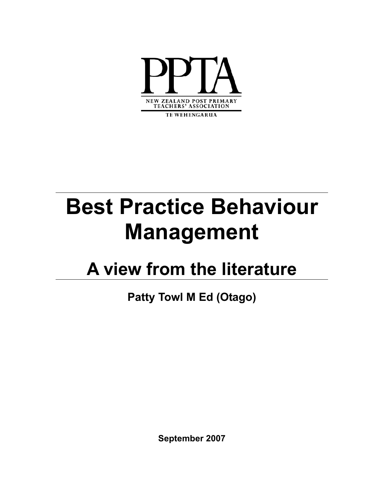

TE WEHENGARUA

# **Best Practice Behaviour Management**

## **A view from the literature**

**Patty Towl M Ed (Otago)** 

**September 2007**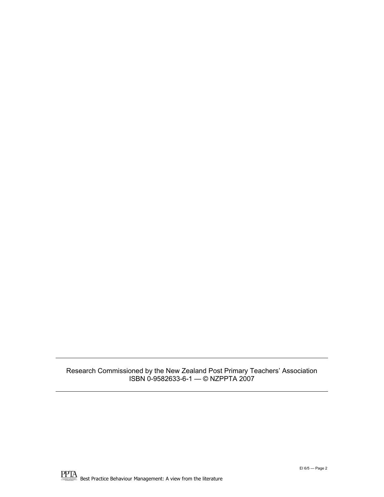#### Research Commissioned by the New Zealand Post Primary Teachers' Association ISBN 0-9582633-6-1 — © NZPPTA 2007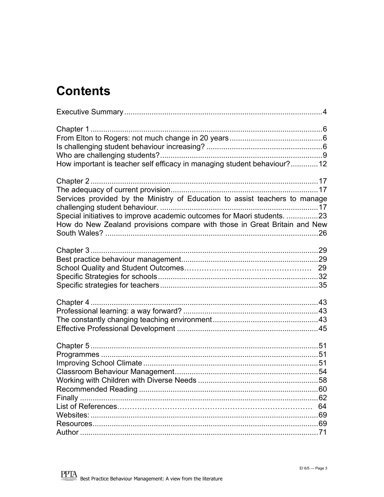### **Contents**

| How important is teacher self efficacy in managing student behaviour?12     |    |
|-----------------------------------------------------------------------------|----|
|                                                                             |    |
|                                                                             |    |
| Services provided by the Ministry of Education to assist teachers to manage |    |
|                                                                             |    |
| Special initiatives to improve academic outcomes for Maori students. 23     |    |
| How do New Zealand provisions compare with those in Great Britain and New   |    |
|                                                                             |    |
|                                                                             |    |
|                                                                             |    |
|                                                                             |    |
|                                                                             |    |
|                                                                             |    |
|                                                                             |    |
|                                                                             |    |
|                                                                             |    |
|                                                                             |    |
|                                                                             |    |
|                                                                             |    |
|                                                                             |    |
|                                                                             |    |
|                                                                             |    |
|                                                                             |    |
|                                                                             |    |
|                                                                             |    |
|                                                                             | 64 |
|                                                                             |    |
|                                                                             |    |
|                                                                             |    |
|                                                                             |    |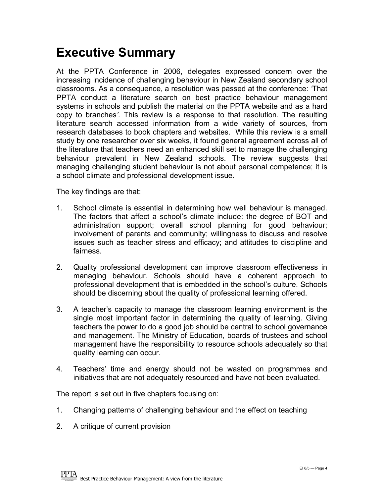### <span id="page-3-0"></span>**Executive Summary**

At the PPTA Conference in 2006, delegates expressed concern over the increasing incidence of challenging behaviour in New Zealand secondary school classrooms. As a consequence, a resolution was passed at the conference: *'*That PPTA conduct a literature search on best practice behaviour management systems in schools and publish the material on the PPTA website and as a hard copy to branches*'.* This review is a response to that resolution. The resulting literature search accessed information from a wide variety of sources, from research databases to book chapters and websites. While this review is a small study by one researcher over six weeks, it found general agreement across all of the literature that teachers need an enhanced skill set to manage the challenging behaviour prevalent in New Zealand schools. The review suggests that managing challenging student behaviour is not about personal competence; it is a school climate and professional development issue.

The key findings are that:

- 1. School climate is essential in determining how well behaviour is managed. The factors that affect a school's climate include: the degree of BOT and administration support; overall school planning for good behaviour; involvement of parents and community; willingness to discuss and resolve issues such as teacher stress and efficacy; and attitudes to discipline and fairness.
- 2. Quality professional development can improve classroom effectiveness in managing behaviour. Schools should have a coherent approach to professional development that is embedded in the school's culture. Schools should be discerning about the quality of professional learning offered.
- 3. A teacher's capacity to manage the classroom learning environment is the single most important factor in determining the quality of learning. Giving teachers the power to do a good job should be central to school governance and management. The Ministry of Education, boards of trustees and school management have the responsibility to resource schools adequately so that quality learning can occur.
- 4. Teachers' time and energy should not be wasted on programmes and initiatives that are not adequately resourced and have not been evaluated.

The report is set out in five chapters focusing on:

- 1. Changing patterns of challenging behaviour and the effect on teaching
- 2. A critique of current provision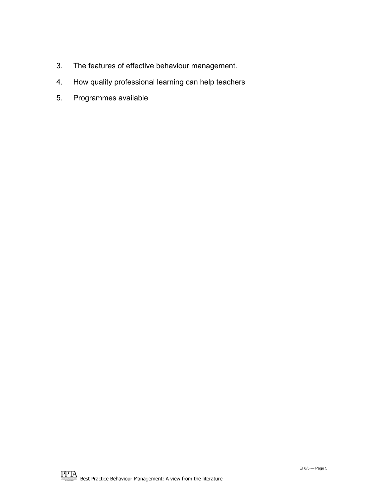- 3. The features of effective behaviour management.
- 4. How quality professional learning can help teachers
- 5. Programmes available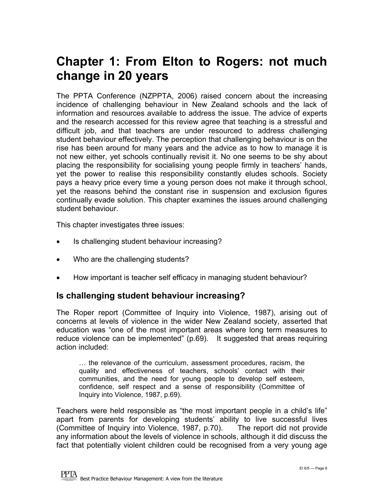### <span id="page-5-0"></span>**Chapter 1: From Elton to Rogers: not much change in 20 years**

The PPTA Conference (NZPPTA, 2006) raised concern about the increasing incidence of challenging behaviour in New Zealand schools and the lack of information and resources available to address the issue. The advice of experts and the research accessed for this review agree that teaching is a stressful and difficult job, and that teachers are under resourced to address challenging student behaviour effectively. The perception that challenging behaviour is on the rise has been around for many years and the advice as to how to manage it is not new either, yet schools continually revisit it. No one seems to be shy about placing the responsibility for socialising young people firmly in teachers' hands, yet the power to realise this responsibility constantly eludes schools. Society pays a heavy price every time a young person does not make it through school, yet the reasons behind the constant rise in suspension and exclusion figures continually evade solution. This chapter examines the issues around challenging student behaviour.

This chapter investigates three issues:

- Is challenging student behaviour increasing?
- Who are the challenging students?
- How important is teacher self efficacy in managing student behaviour?

#### **Is challenging student behaviour increasing?**

The Roper report (Committee of Inquiry into Violence, 1987), arising out of concerns at levels of violence in the wider New Zealand society, asserted that education was "one of the most important areas where long term measures to reduce violence can be implemented" (p.69). It suggested that areas requiring action included:

… the relevance of the curriculum, assessment procedures, racism, the quality and effectiveness of teachers, schools' contact with their communities, and the need for young people to develop self esteem, confidence, self respect and a sense of responsibility (Committee of Inquiry into Violence, 1987, p.69).

Teachers were held responsible as "the most important people in a child's life" apart from parents for developing students' ability to live successful lives (Committee of Inquiry into Violence, 1987, p.70). The report did not provide any information about the levels of violence in schools, although it did discuss the fact that potentially violent children could be recognised from a very young age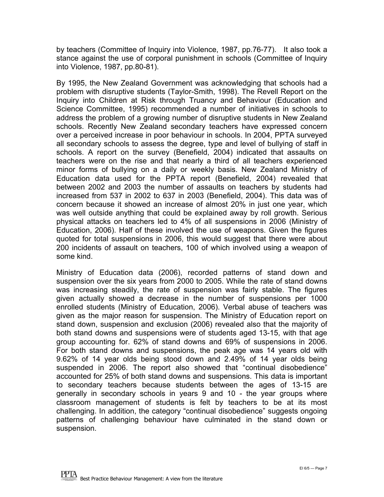by teachers (Committee of Inquiry into Violence, 1987, pp.76-77). It also took a stance against the use of corporal punishment in schools (Committee of Inquiry into Violence, 1987, pp.80-81).

By 1995, the New Zealand Government was acknowledging that schools had a problem with disruptive students (Taylor-Smith, 1998). The Revell Report on the Inquiry into Children at Risk through Truancy and Behaviour (Education and Science Committee, 1995) recommended a number of initiatives in schools to address the problem of a growing number of disruptive students in New Zealand schools. Recently New Zealand secondary teachers have expressed concern over a perceived increase in poor behaviour in schools. In 2004, PPTA surveyed all secondary schools to assess the degree, type and level of bullying of staff in schools. A report on the survey (Benefield, 2004) indicated that assaults on teachers were on the rise and that nearly a third of all teachers experienced minor forms of bullying on a daily or weekly basis. New Zealand Ministry of Education data used for the PPTA report (Benefield, 2004) revealed that between 2002 and 2003 the number of assaults on teachers by students had increased from 537 in 2002 to 637 in 2003 (Benefield, 2004). This data was of concern because it showed an increase of almost 20% in just one year, which was well outside anything that could be explained away by roll growth. Serious physical attacks on teachers led to 4% of all suspensions in 2006 (Ministry of Education, 2006). Half of these involved the use of weapons. Given the figures quoted for total suspensions in 2006, this would suggest that there were about 200 incidents of assault on teachers, 100 of which involved using a weapon of some kind.

Ministry of Education data (2006), recorded patterns of stand down and suspension over the six years from 2000 to 2005. While the rate of stand downs was increasing steadily, the rate of suspension was fairly stable. The figures given actually showed a decrease in the number of suspensions per 1000 enrolled students (Ministry of Education, 2006). Verbal abuse of teachers was given as the major reason for suspension. The Ministry of Education report on stand down, suspension and exclusion (2006) revealed also that the majority of both stand downs and suspensions were of students aged 13-15, with that age group accounting for. 62% of stand downs and 69% of suspensions in 2006. For both stand downs and suspensions, the peak age was 14 years old with 9.62% of 14 year olds being stood down and 2.49% of 14 year olds being suspended in 2006. The report also showed that "continual disobedience" accounted for 25% of both stand downs and suspensions. This data is important to secondary teachers because students between the ages of 13-15 are generally in secondary schools in years 9 and 10 - the year groups where classroom management of students is felt by teachers to be at its most challenging. In addition, the category "continual disobedience" suggests ongoing patterns of challenging behaviour have culminated in the stand down or suspension.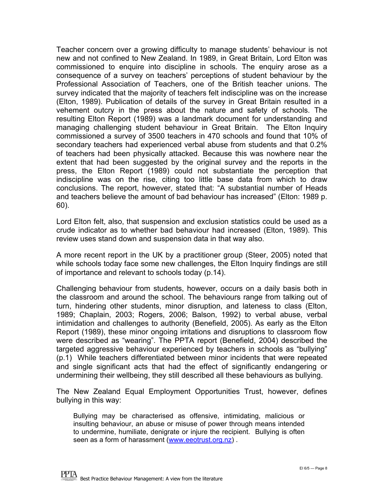Teacher concern over a growing difficulty to manage students' behaviour is not new and not confined to New Zealand. In 1989, in Great Britain, Lord Elton was commissioned to enquire into discipline in schools. The enquiry arose as a consequence of a survey on teachers' perceptions of student behaviour by the Professional Association of Teachers, one of the British teacher unions. The survey indicated that the majority of teachers felt indiscipline was on the increase (Elton, 1989). Publication of details of the survey in Great Britain resulted in a vehement outcry in the press about the nature and safety of schools. The resulting Elton Report (1989) was a landmark document for understanding and managing challenging student behaviour in Great Britain. The Elton Inquiry commissioned a survey of 3500 teachers in 470 schools and found that 10% of secondary teachers had experienced verbal abuse from students and that 0.2% of teachers had been physically attacked. Because this was nowhere near the extent that had been suggested by the original survey and the reports in the press, the Elton Report (1989) could not substantiate the perception that indiscipline was on the rise, citing too little base data from which to draw conclusions. The report, however, stated that: "A substantial number of Heads and teachers believe the amount of bad behaviour has increased" (Elton: 1989 p. 60).

Lord Elton felt, also, that suspension and exclusion statistics could be used as a crude indicator as to whether bad behaviour had increased (Elton, 1989). This review uses stand down and suspension data in that way also.

A more recent report in the UK by a practitioner group (Steer, 2005) noted that while schools today face some new challenges, the Elton Inquiry findings are still of importance and relevant to schools today (p.14).

Challenging behaviour from students, however, occurs on a daily basis both in the classroom and around the school. The behaviours range from talking out of turn, hindering other students, minor disruption, and lateness to class (Elton, 1989; Chaplain, 2003; Rogers, 2006; Balson, 1992) to verbal abuse, verbal intimidation and challenges to authority (Benefield, 2005). As early as the Elton Report (1989), these minor ongoing irritations and disruptions to classroom flow were described as "wearing". The PPTA report (Benefield, 2004) described the targeted aggressive behaviour experienced by teachers in schools as "bullying" (p.1) While teachers differentiated between minor incidents that were repeated and single significant acts that had the effect of significantly endangering or undermining their wellbeing, they still described all these behaviours as bullying.

The New Zealand Equal Employment Opportunities Trust, however, defines bullying in this way:

Bullying may be characterised as offensive, intimidating, malicious or insulting behaviour, an abuse or misuse of power through means intended to undermine, humiliate, denigrate or injure the recipient. Bullying is often seen as a form of harassment [\(www.eeotrust.org.nz](http://www.eeotrust.org.nz/)) .

**PPTA**<br>Best Practice Behaviour Management: A view from the literature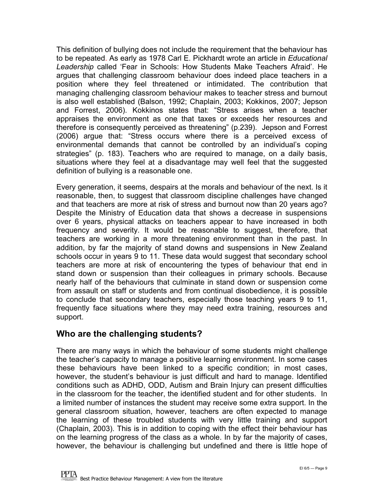<span id="page-8-0"></span>This definition of bullying does not include the requirement that the behaviour has to be repeated. As early as 1978 Carl E. Pickhardt wrote an article in *Educational Leadership* called 'Fear in Schools: How Students Make Teachers Afraid'. He argues that challenging classroom behaviour does indeed place teachers in a position where they feel threatened or intimidated. The contribution that managing challenging classroom behaviour makes to teacher stress and burnout is also well established (Balson, 1992; Chaplain, 2003; Kokkinos, 2007; Jepson and Forrest, 2006). Kokkinos states that: "Stress arises when a teacher appraises the environment as one that taxes or exceeds her resources and therefore is consequently perceived as threatening" (p.239). Jepson and Forrest (2006) argue that: "Stress occurs where there is a perceived excess of environmental demands that cannot be controlled by an individual's coping strategies" (p. 183). Teachers who are required to manage, on a daily basis, situations where they feel at a disadvantage may well feel that the suggested definition of bullying is a reasonable one.

Every generation, it seems, despairs at the morals and behaviour of the next. Is it reasonable, then, to suggest that classroom discipline challenges have changed and that teachers are more at risk of stress and burnout now than 20 years ago? Despite the Ministry of Education data that shows a decrease in suspensions over 6 years, physical attacks on teachers appear to have increased in both frequency and severity. It would be reasonable to suggest, therefore, that teachers are working in a more threatening environment than in the past. In addition, by far the majority of stand downs and suspensions in New Zealand schools occur in years 9 to 11. These data would suggest that secondary school teachers are more at risk of encountering the types of behaviour that end in stand down or suspension than their colleagues in primary schools. Because nearly half of the behaviours that culminate in stand down or suspension come from assault on staff or students and from continual disobedience, it is possible to conclude that secondary teachers, especially those teaching years 9 to 11, frequently face situations where they may need extra training, resources and support.

#### **Who are the challenging students?**

There are many ways in which the behaviour of some students might challenge the teacher's capacity to manage a positive learning environment. In some cases these behaviours have been linked to a specific condition; in most cases, however, the student's behaviour is just difficult and hard to manage. Identified conditions such as ADHD, ODD, Autism and Brain Injury can present difficulties in the classroom for the teacher, the identified student and for other students. In a limited number of instances the student may receive some extra support. In the general classroom situation, however, teachers are often expected to manage the learning of these troubled students with very little training and support (Chaplain, 2003). This is in addition to coping with the effect their behaviour has on the learning progress of the class as a whole. In by far the majority of cases, however, the behaviour is challenging but undefined and there is little hope of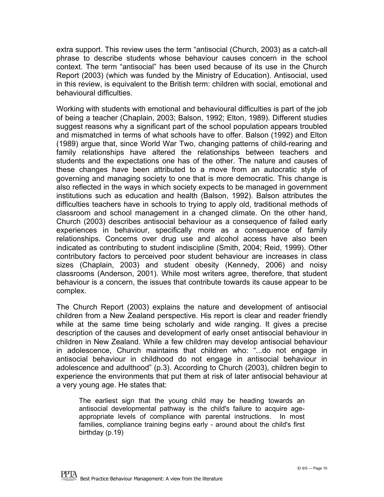extra support. This review uses the term "antisocial (Church, 2003) as a catch-all phrase to describe students whose behaviour causes concern in the school context. The term "antisocial" has been used because of its use in the Church Report (2003) (which was funded by the Ministry of Education). Antisocial, used in this review, is equivalent to the British term: children with social, emotional and behavioural difficulties.

Working with students with emotional and behavioural difficulties is part of the job of being a teacher (Chaplain, 2003; Balson, 1992; Elton, 1989). Different studies suggest reasons why a significant part of the school population appears troubled and mismatched in terms of what schools have to offer. Balson (1992) and Elton (1989) argue that, since World War Two, changing patterns of child-rearing and family relationships have altered the relationships between teachers and students and the expectations one has of the other. The nature and causes of these changes have been attributed to a move from an autocratic style of governing and managing society to one that is more democratic. This change is also reflected in the ways in which society expects to be managed in government institutions such as education and health (Balson, 1992). Balson attributes the difficulties teachers have in schools to trying to apply old, traditional methods of classroom and school management in a changed climate. On the other hand, Church (2003) describes antisocial behaviour as a consequence of failed early experiences in behaviour, specifically more as a consequence of family relationships. Concerns over drug use and alcohol access have also been indicated as contributing to student indiscipline (Smith, 2004; Reid, 1999). Other contributory factors to perceived poor student behaviour are increases in class sizes (Chaplain, 2003) and student obesity (Kennedy, 2006) and noisy classrooms (Anderson, 2001). While most writers agree, therefore, that student behaviour is a concern, the issues that contribute towards its cause appear to be complex.

The Church Report (2003) explains the nature and development of antisocial children from a New Zealand perspective. His report is clear and reader friendly while at the same time being scholarly and wide ranging. It gives a precise description of the causes and development of early onset antisocial behaviour in children in New Zealand. While a few children may develop antisocial behaviour in adolescence, Church maintains that children who: "...do not engage in antisocial behaviour in childhood do not engage in antisocial behaviour in adolescence and adulthood" (p.3). According to Church (2003), children begin to experience the environments that put them at risk of later antisocial behaviour at a very young age. He states that:

The earliest sign that the young child may be heading towards an antisocial developmental pathway is the child's failure to acquire ageappropriate levels of compliance with parental instructions. In most families, compliance training begins early - around about the child's first birthday (p.19)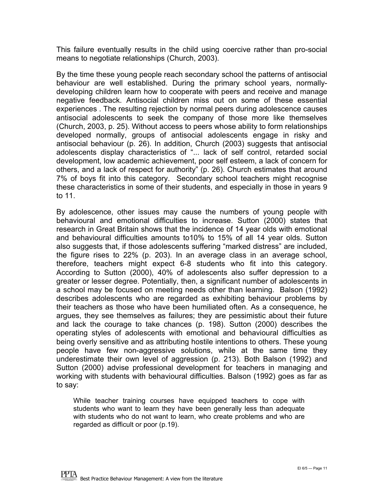This failure eventually results in the child using coercive rather than pro-social means to negotiate relationships (Church, 2003).

By the time these young people reach secondary school the patterns of antisocial behaviour are well established. During the primary school years, normallydeveloping children learn how to cooperate with peers and receive and manage negative feedback. Antisocial children miss out on some of these essential experiences . The resulting rejection by normal peers during adolescence causes antisocial adolescents to seek the company of those more like themselves (Church, 2003, p. 25). Without access to peers whose ability to form relationships developed normally, groups of antisocial adolescents engage in risky and antisocial behaviour (p. 26). In addition, Church (2003) suggests that antisocial adolescents display characteristics of "... lack of self control, retarded social development, low academic achievement, poor self esteem, a lack of concern for others, and a lack of respect for authority" (p. 26). Church estimates that around 7% of boys fit into this category. Secondary school teachers might recognise these characteristics in some of their students, and especially in those in years 9 to 11.

By adolescence, other issues may cause the numbers of young people with behavioural and emotional difficulties to increase. Sutton (2000) states that research in Great Britain shows that the incidence of 14 year olds with emotional and behavioural difficulties amounts to10% to 15% of all 14 year olds. Sutton also suggests that, if those adolescents suffering "marked distress" are included, the figure rises to 22% (p. 203). In an average class in an average school, therefore, teachers might expect 6-8 students who fit into this category. According to Sutton (2000), 40% of adolescents also suffer depression to a greater or lesser degree. Potentially, then, a significant number of adolescents in a school may be focused on meeting needs other than learning. Balson (1992) describes adolescents who are regarded as exhibiting behaviour problems by their teachers as those who have been humiliated often. As a consequence, he argues, they see themselves as failures; they are pessimistic about their future and lack the courage to take chances (p. 198). Sutton (2000) describes the operating styles of adolescents with emotional and behavioural difficulties as being overly sensitive and as attributing hostile intentions to others. These young people have few non-aggressive solutions, while at the same time they underestimate their own level of aggression (p. 213). Both Balson (1992) and Sutton (2000) advise professional development for teachers in managing and working with students with behavioural difficulties. Balson (1992) goes as far as to say:

While teacher training courses have equipped teachers to cope with students who want to learn they have been generally less than adequate with students who do not want to learn, who create problems and who are regarded as difficult or poor (p.19).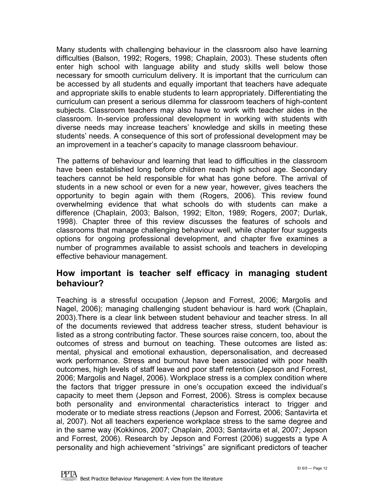<span id="page-11-0"></span>Many students with challenging behaviour in the classroom also have learning difficulties (Balson, 1992; Rogers, 1998; Chaplain, 2003). These students often enter high school with language ability and study skills well below those necessary for smooth curriculum delivery. It is important that the curriculum can be accessed by all students and equally important that teachers have adequate and appropriate skills to enable students to learn appropriately. Differentiating the curriculum can present a serious dilemma for classroom teachers of high-content subjects. Classroom teachers may also have to work with teacher aides in the classroom. In-service professional development in working with students with diverse needs may increase teachers' knowledge and skills in meeting these students' needs. A consequence of this sort of professional development may be an improvement in a teacher's capacity to manage classroom behaviour.

The patterns of behaviour and learning that lead to difficulties in the classroom have been established long before children reach high school age. Secondary teachers cannot be held responsible for what has gone before. The arrival of students in a new school or even for a new year, however, gives teachers the opportunity to begin again with them (Rogers, 2006). This review found overwhelming evidence that what schools do with students can make a difference (Chaplain, 2003; Balson, 1992; Elton, 1989; Rogers, 2007; Durlak, 1998). Chapter three of this review discusses the features of schools and classrooms that manage challenging behaviour well, while chapter four suggests options for ongoing professional development, and chapter five examines a number of programmes available to assist schools and teachers in developing effective behaviour management.

#### **How important is teacher self efficacy in managing student behaviour?**

Teaching is a stressful occupation (Jepson and Forrest, 2006; Margolis and Nagel, 2006); managing challenging student behaviour is hard work (Chaplain, 2003).There is a clear link between student behaviour and teacher stress. In all of the documents reviewed that address teacher stress, student behaviour is listed as a strong contributing factor. These sources raise concern, too, about the outcomes of stress and burnout on teaching. These outcomes are listed as: mental, physical and emotional exhaustion, depersonalisation, and decreased work performance. Stress and burnout have been associated with poor health outcomes, high levels of staff leave and poor staff retention (Jepson and Forrest, 2006; Margolis and Nagel, 2006). Workplace stress is a complex condition where the factors that trigger pressure in one's occupation exceed the individual's capacity to meet them (Jepson and Forrest, 2006). Stress is complex because both personality and environmental characteristics interact to trigger and moderate or to mediate stress reactions (Jepson and Forrest*,* 2006; Santavirta et al, 2007). Not all teachers experience workplace stress to the same degree and in the same way (Kokkinos, 2007; Chaplain, 2003; Santavirta et al, 2007; Jepson and Forrest, 2006). Research by Jepson and Forrest (2006) suggests a type A personality and high achievement "strivings" are significant predictors of teacher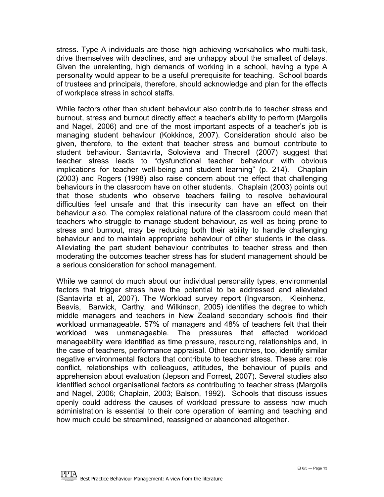stress. Type A individuals are those high achieving workaholics who multi-task, drive themselves with deadlines, and are unhappy about the smallest of delays. Given the unrelenting, high demands of working in a school, having a type A personality would appear to be a useful prerequisite for teaching. School boards of trustees and principals, therefore, should acknowledge and plan for the effects of workplace stress in school staffs.

While factors other than student behaviour also contribute to teacher stress and burnout, stress and burnout directly affect a teacher's ability to perform (Margolis and Nagel, 2006) and one of the most important aspects of a teacher's job is managing student behaviour (Kokkinos, 2007). Consideration should also be given, therefore, to the extent that teacher stress and burnout contribute to student behaviour. Santavirta, Solovieva and Theorell (2007) suggest that teacher stress leads to "dysfunctional teacher behaviour with obvious implications for teacher well-being and student learning" (p. 214). Chaplain (2003) and Rogers (1998) also raise concern about the effect that challenging behaviours in the classroom have on other students. Chaplain (2003) points out that those students who observe teachers failing to resolve behavioural difficulties feel unsafe and that this insecurity can have an effect on their behaviour also. The complex relational nature of the classroom could mean that teachers who struggle to manage student behaviour, as well as being prone to stress and burnout, may be reducing both their ability to handle challenging behaviour and to maintain appropriate behaviour of other students in the class. Alleviating the part student behaviour contributes to teacher stress and then moderating the outcomes teacher stress has for student management should be a serious consideration for school management.

While we cannot do much about our individual personality types, environmental factors that trigger stress have the potential to be addressed and alleviated (Santavirta et al, 2007). The Workload survey report (Ingvarson, Kleinhenz, Beavis, Barwick, Carthy, and Wilkinson, 2005) identifies the degree to which middle managers and teachers in New Zealand secondary schools find their workload unmanageable. 57% of managers and 48% of teachers felt that their workload was unmanageable. The pressures that affected workload manageability were identified as time pressure, resourcing, relationships and, in the case of teachers, performance appraisal. Other countries, too, identify similar negative environmental factors that contribute to teacher stress. These are: role conflict, relationships with colleagues, attitudes, the behaviour of pupils and apprehension about evaluation (Jepson and Forrest, 2007). Several studies also identified school organisational factors as contributing to teacher stress (Margolis and Nagel, 2006; Chaplain, 2003; Balson, 1992). Schools that discuss issues openly could address the causes of workload pressure to assess how much administration is essential to their core operation of learning and teaching and how much could be streamlined, reassigned or abandoned altogether.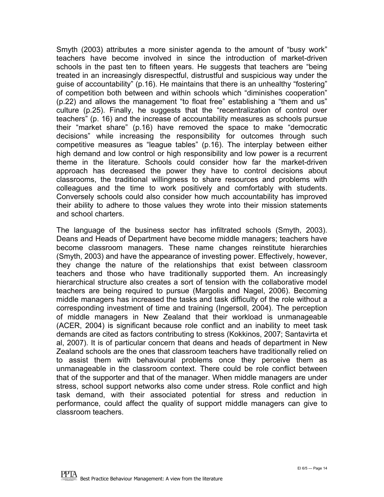Smyth (2003) attributes a more sinister agenda to the amount of "busy work" teachers have become involved in since the introduction of market-driven schools in the past ten to fifteen years. He suggests that teachers are "being treated in an increasingly disrespectful, distrustful and suspicious way under the guise of accountability" (p.16). He maintains that there is an unhealthy "fostering" of competition both between and within schools which "diminishes cooperation" (p.22) and allows the management "to float free" establishing a "them and us" culture (p.25). Finally, he suggests that the "recentralization of control over teachers" (p. 16) and the increase of accountability measures as schools pursue their "market share" (p.16) have removed the space to make "democratic decisions" while increasing the responsibility for outcomes through such competitive measures as "league tables" (p.16). The interplay between either high demand and low control or high responsibility and low power is a recurrent theme in the literature. Schools could consider how far the market-driven approach has decreased the power they have to control decisions about classrooms, the traditional willingness to share resources and problems with colleagues and the time to work positively and comfortably with students. Conversely schools could also consider how much accountability has improved their ability to adhere to those values they wrote into their mission statements and school charters.

The language of the business sector has infiltrated schools (Smyth, 2003). Deans and Heads of Department have become middle managers; teachers have become classroom managers. These name changes reinstitute hierarchies (Smyth, 2003) and have the appearance of investing power. Effectively, however, they change the nature of the relationships that exist between classroom teachers and those who have traditionally supported them. An increasingly hierarchical structure also creates a sort of tension with the collaborative model teachers are being required to pursue (Margolis and Nagel, 2006). Becoming middle managers has increased the tasks and task difficulty of the role without a corresponding investment of time and training (Ingersoll, 2004). The perception of middle managers in New Zealand that their workload is unmanageable (ACER, 2004) is significant because role conflict and an inability to meet task demands are cited as factors contributing to stress (Kokkinos, 2007; Santavirta et al, 2007). It is of particular concern that deans and heads of department in New Zealand schools are the ones that classroom teachers have traditionally relied on to assist them with behavioural problems once they perceive them as unmanageable in the classroom context. There could be role conflict between that of the supporter and that of the manager. When middle managers are under stress, school support networks also come under stress. Role conflict and high task demand, with their associated potential for stress and reduction in performance, could affect the quality of support middle managers can give to classroom teachers.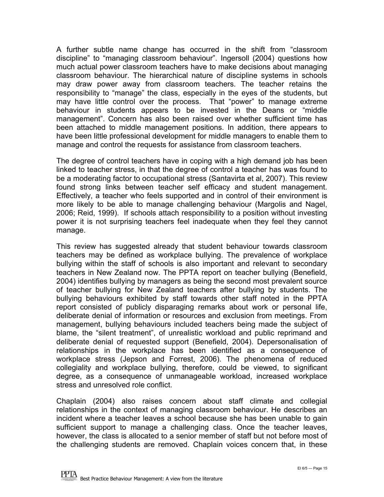A further subtle name change has occurred in the shift from "classroom discipline" to "managing classroom behaviour". Ingersoll (2004) questions how much actual power classroom teachers have to make decisions about managing classroom behaviour. The hierarchical nature of discipline systems in schools may draw power away from classroom teachers. The teacher retains the responsibility to "manage" the class, especially in the eyes of the students, but may have little control over the process. That "power" to manage extreme behaviour in students appears to be invested in the Deans or "middle management". Concern has also been raised over whether sufficient time has been attached to middle management positions. In addition, there appears to have been little professional development for middle managers to enable them to manage and control the requests for assistance from classroom teachers.

The degree of control teachers have in coping with a high demand job has been linked to teacher stress, in that the degree of control a teacher has was found to be a moderating factor to occupational stress (Santavirta et al, 2007). This review found strong links between teacher self efficacy and student management. Effectively, a teacher who feels supported and in control of their environment is more likely to be able to manage challenging behaviour (Margolis and Nagel, 2006; Reid, 1999). If schools attach responsibility to a position without investing power it is not surprising teachers feel inadequate when they feel they cannot manage.

This review has suggested already that student behaviour towards classroom teachers may be defined as workplace bullying. The prevalence of workplace bullying within the staff of schools is also important and relevant to secondary teachers in New Zealand now. The PPTA report on teacher bullying (Benefield, 2004) identifies bullying by managers as being the second most prevalent source of teacher bullying for New Zealand teachers after bullying by students. The bullying behaviours exhibited by staff towards other staff noted in the PPTA report consisted of publicly disparaging remarks about work or personal life, deliberate denial of information or resources and exclusion from meetings. From management, bullying behaviours included teachers being made the subject of blame, the "silent treatment", of unrealistic workload and public reprimand and deliberate denial of requested support (Benefield, 2004). Depersonalisation of relationships in the workplace has been identified as a consequence of workplace stress (Jepson and Forrest, 2006). The phenomena of reduced collegiality and workplace bullying, therefore, could be viewed, to significant degree, as a consequence of unmanageable workload, increased workplace stress and unresolved role conflict.

Chaplain (2004) also raises concern about staff climate and collegial relationships in the context of managing classroom behaviour. He describes an incident where a teacher leaves a school because she has been unable to gain sufficient support to manage a challenging class. Once the teacher leaves, however, the class is allocated to a senior member of staff but not before most of the challenging students are removed. Chaplain voices concern that, in these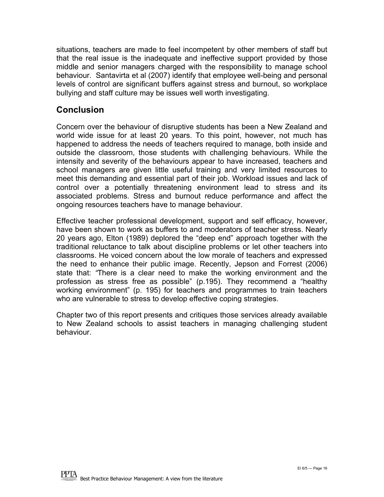situations, teachers are made to feel incompetent by other members of staff but that the real issue is the inadequate and ineffective support provided by those middle and senior managers charged with the responsibility to manage school behaviour. Santavirta et al (2007) identify that employee well-being and personal levels of control are significant buffers against stress and burnout, so workplace bullying and staff culture may be issues well worth investigating.

#### **Conclusion**

Concern over the behaviour of disruptive students has been a New Zealand and world wide issue for at least 20 years. To this point, however, not much has happened to address the needs of teachers required to manage, both inside and outside the classroom, those students with challenging behaviours. While the intensity and severity of the behaviours appear to have increased, teachers and school managers are given little useful training and very limited resources to meet this demanding and essential part of their job. Workload issues and lack of control over a potentially threatening environment lead to stress and its associated problems. Stress and burnout reduce performance and affect the ongoing resources teachers have to manage behaviour.

Effective teacher professional development, support and self efficacy, however, have been shown to work as buffers to and moderators of teacher stress. Nearly 20 years ago, Elton (1989) deplored the "deep end" approach together with the traditional reluctance to talk about discipline problems or let other teachers into classrooms. He voiced concern about the low morale of teachers and expressed the need to enhance their public image. Recently, Jepson and Forrest (2006) state that: *"*There is a clear need to make the working environment and the profession as stress free as possible" (p.195). They recommend a "healthy working environment" (p. 195) for teachers and programmes to train teachers who are vulnerable to stress to develop effective coping strategies.

Chapter two of this report presents and critiques those services already available to New Zealand schools to assist teachers in managing challenging student behaviour.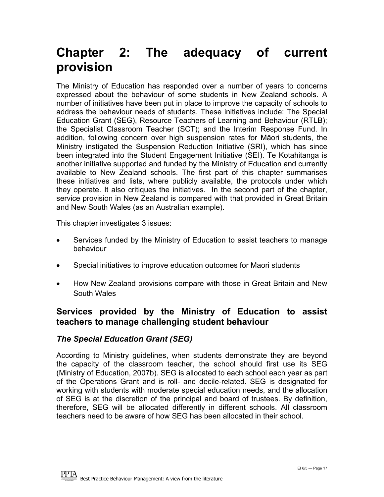### <span id="page-16-0"></span>**Chapter 2: The adequacy of current provision**

The Ministry of Education has responded over a number of years to concerns expressed about the behaviour of some students in New Zealand schools. A number of initiatives have been put in place to improve the capacity of schools to address the behaviour needs of students. These initiatives include: The Special Education Grant (SEG), Resource Teachers of Learning and Behaviour (RTLB); the Specialist Classroom Teacher (SCT); and the Interim Response Fund. In addition, following concern over high suspension rates for Māori students, the Ministry instigated the Suspension Reduction Initiative (SRI), which has since been integrated into the Student Engagement Initiative (SEI). Te Kotahitanga is another initiative supported and funded by the Ministry of Education and currently available to New Zealand schools. The first part of this chapter summarises these initiatives and lists, where publicly available, the protocols under which they operate. It also critiques the initiatives. In the second part of the chapter, service provision in New Zealand is compared with that provided in Great Britain and New South Wales (as an Australian example).

This chapter investigates 3 issues:

- Services funded by the Ministry of Education to assist teachers to manage behaviour
- Special initiatives to improve education outcomes for Maori students
- How New Zealand provisions compare with those in Great Britain and New South Wales

#### **Services provided by the Ministry of Education to assist teachers to manage challenging student behaviour**

#### *The Special Education Grant (SEG)*

According to Ministry guidelines, when students demonstrate they are beyond the capacity of the classroom teacher, the school should first use its SEG (Ministry of Education, 2007b). SEG is allocated to each school each year as part of the Operations Grant and is roll- and decile-related. SEG is designated for working with students with moderate special education needs, and the allocation of SEG is at the discretion of the principal and board of trustees. By definition, therefore, SEG will be allocated differently in different schools. All classroom teachers need to be aware of how SEG has been allocated in their school.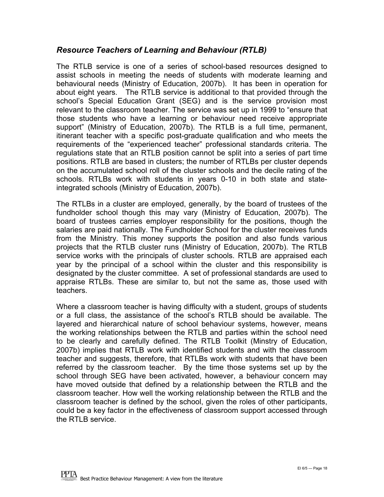#### *Resource Teachers of Learning and Behaviour (RTLB)*

The RTLB service is one of a series of school-based resources designed to assist schools in meeting the needs of students with moderate learning and behavioural needs (Ministry of Education, 2007b). It has been in operation for about eight years. The RTLB service is additional to that provided through the school's Special Education Grant (SEG) and is the service provision most relevant to the classroom teacher. The service was set up in 1999 to "ensure that those students who have a learning or behaviour need receive appropriate support" (Ministry of Education, 2007b). The RTLB is a full time, permanent, itinerant teacher with a specific post-graduate qualification and who meets the requirements of the "experienced teacher" professional standards criteria. The regulations state that an RTLB position cannot be split into a series of part time positions. RTLB are based in clusters; the number of RTLBs per cluster depends on the accumulated school roll of the cluster schools and the decile rating of the schools. RTLBs work with students in years 0-10 in both state and stateintegrated schools (Ministry of Education, 2007b).

The RTLBs in a cluster are employed, generally, by the board of trustees of the fundholder school though this may vary (Ministry of Education, 2007b). The board of trustees carries employer responsibility for the positions, though the salaries are paid nationally. The Fundholder School for the cluster receives funds from the Ministry. This money supports the position and also funds various projects that the RTLB cluster runs (Ministry of Education, 2007b). The RTLB service works with the principals of cluster schools. RTLB are appraised each year by the principal of a school within the cluster and this responsibility is designated by the cluster committee. A set of professional standards are used to appraise RTLBs. These are similar to, but not the same as, those used with teachers.

Where a classroom teacher is having difficulty with a student, groups of students or a full class, the assistance of the school's RTLB should be available. The layered and hierarchical nature of school behaviour systems, however, means the working relationships between the RTLB and parties within the school need to be clearly and carefully defined. The RTLB Toolkit (Minstry of Education, 2007b) implies that RTLB work with identified students and with the classroom teacher and suggests, therefore, that RTLBs work with students that have been referred by the classroom teacher. By the time those systems set up by the school through SEG have been activated, however, a behaviour concern may have moved outside that defined by a relationship between the RTLB and the classroom teacher. How well the working relationship between the RTLB and the classroom teacher is defined by the school, given the roles of other participants, could be a key factor in the effectiveness of classroom support accessed through the RTLB service.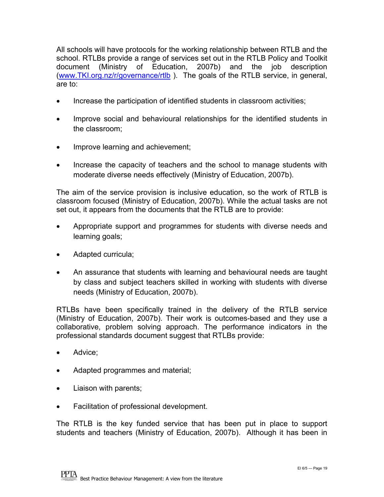All schools will have protocols for the working relationship between RTLB and the school. RTLBs provide a range of services set out in the RTLB Policy and Toolkit document (Ministry of Education, 2007b) and the job description (www.TKI.org.nz/r/governance/rtlb). The goals of the RTLB service, in general, are to:

- Increase the participation of identified students in classroom activities;
- Improve social and behavioural relationships for the identified students in the classroom;
- Improve learning and achievement;
- Increase the capacity of teachers and the school to manage students with moderate diverse needs effectively (Ministry of Education, 2007b).

The aim of the service provision is inclusive education, so the work of RTLB is classroom focused (Ministry of Education, 2007b). While the actual tasks are not set out, it appears from the documents that the RTLB are to provide:

- Appropriate support and programmes for students with diverse needs and learning goals;
- Adapted curricula;
- An assurance that students with learning and behavioural needs are taught by class and subject teachers skilled in working with students with diverse needs (Ministry of Education, 2007b).

RTLBs have been specifically trained in the delivery of the RTLB service (Ministry of Education, 2007b). Their work is outcomes-based and they use a collaborative, problem solving approach. The performance indicators in the professional standards document suggest that RTLBs provide:

- Advice;
- Adapted programmes and material;
- Liaison with parents;
- Facilitation of professional development.

The RTLB is the key funded service that has been put in place to support students and teachers (Ministry of Education, 2007b). Although it has been in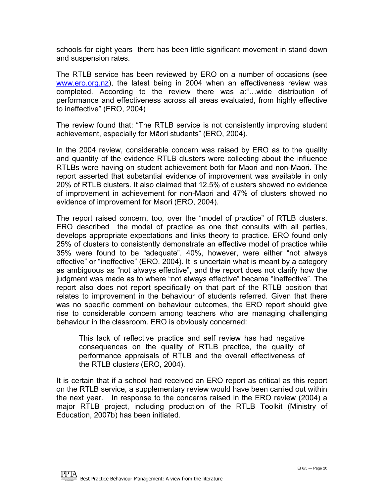schools for eight years there has been little significant movement in stand down and suspension rates.

The RTLB service has been reviewed by ERO on a number of occasions (see [www.ero.org.nz](http://www.ero.org.nz/)), the latest being in 2004 when an effectiveness review was completed. According to the review there was a:"…wide distribution of performance and effectiveness across all areas evaluated, from highly effective to ineffective" (ERO, 2004)

The review found that: "The RTLB service is not consistently improving student achievement, especially for Māori students" (ERO, 2004).

In the 2004 review, considerable concern was raised by ERO as to the quality and quantity of the evidence RTLB clusters were collecting about the influence RTLBs were having on student achievement both for Maori and non-Maori. The report asserted that substantial evidence of improvement was available in only 20% of RTLB clusters. It also claimed that 12.5% of clusters showed no evidence of improvement in achievement for non-Maori and 47% of clusters showed no evidence of improvement for Maori (ERO, 2004).

The report raised concern, too, over the "model of practice" of RTLB clusters. ERO described the model of practice as one that consults with all parties, develops appropriate expectations and links theory to practice. ERO found only 25% of clusters to consistently demonstrate an effective model of practice while 35% were found to be "adequate". 40%, however, were either "not always effective" or "ineffective" (ERO, 2004). It is uncertain what is meant by a category as ambiguous as "not always effective", and the report does not clarify how the judgment was made as to where "not always effective" became "ineffective". The report also does not report specifically on that part of the RTLB position that relates to improvement in the behaviour of students referred. Given that there was no specific comment on behaviour outcomes, the ERO report should give rise to considerable concern among teachers who are managing challenging behaviour in the classroom. ERO is obviously concerned:

This lack of reflective practice and self review has had negative consequences on the quality of RTLB practice, the quality of performance appraisals of RTLB and the overall effectiveness of the RTLB cluster*s* (ERO, 2004).

It is certain that if a school had received an ERO report as critical as this report on the RTLB service, a supplementary review would have been carried out within the next year. In response to the concerns raised in the ERO review (2004) a major RTLB project, including production of the RTLB Toolkit (Ministry of Education, 2007b) has been initiated.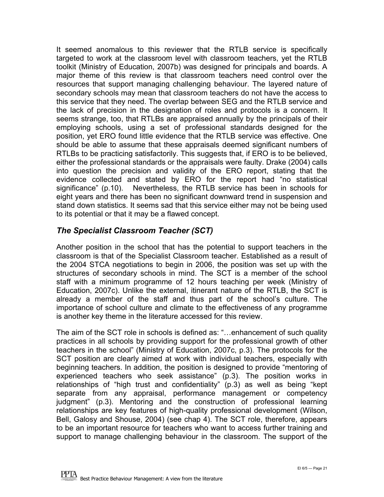It seemed anomalous to this reviewer that the RTLB service is specifically targeted to work at the classroom level with classroom teachers, yet the RTLB toolkit (Ministry of Education, 2007b) was designed for principals and boards. A major theme of this review is that classroom teachers need control over the resources that support managing challenging behaviour. The layered nature of secondary schools may mean that classroom teachers do not have the access to this service that they need. The overlap between SEG and the RTLB service and the lack of precision in the designation of roles and protocols is a concern. It seems strange, too, that RTLBs are appraised annually by the principals of their employing schools, using a set of professional standards designed for the position, yet ERO found little evidence that the RTLB service was effective. One should be able to assume that these appraisals deemed significant numbers of RTLBs to be practicing satisfactorily. This suggests that, if ERO is to be believed, either the professional standards or the appraisals were faulty. Drake (2004) calls into question the precision and validity of the ERO report, stating that the evidence collected and stated by ERO for the report had "no statistical significance" (p.10). Nevertheless, the RTLB service has been in schools for eight years and there has been no significant downward trend in suspension and stand down statistics. It seems sad that this service either may not be being used to its potential or that it may be a flawed concept.

#### *The Specialist Classroom Teacher (SCT)*

Another position in the school that has the potential to support teachers in the classroom is that of the Specialist Classroom teacher. Established as a result of the 2004 STCA negotiations to begin in 2006, the position was set up with the structures of secondary schools in mind. The SCT is a member of the school staff with a minimum programme of 12 hours teaching per week (Ministry of Education, 2007c). Unlike the external, itinerant nature of the RTLB, the SCT is already a member of the staff and thus part of the school's culture. The importance of school culture and climate to the effectiveness of any programme is another key theme in the literature accessed for this review.

The aim of the SCT role in schools is defined as: "…enhancement of such quality practices in all schools by providing support for the professional growth of other teachers in the school" (Ministry of Education, 2007c, p.3). The protocols for the SCT position are clearly aimed at work with individual teachers, especially with beginning teachers. In addition, the position is designed to provide "mentoring of experienced teachers who seek assistance" (p.3). The position works in relationships of "high trust and confidentiality"  $(p.3)$  as well as being "kept separate from any appraisal, performance management or competency judgment" (p.3). Mentoring and the construction of professional learning relationships are key features of high-quality professional development (Wilson, Bell, Galosy and Shouse, 2004) (see chap 4). The SCT role, therefore, appears to be an important resource for teachers who want to access further training and support to manage challenging behaviour in the classroom. The support of the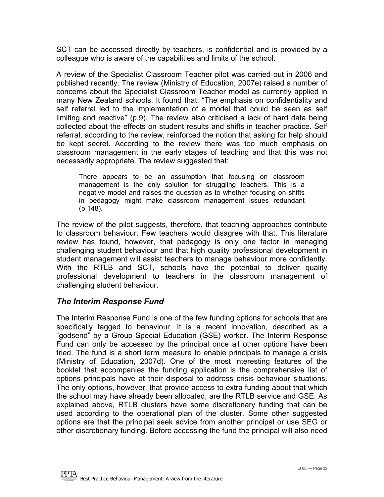SCT can be accessed directly by teachers, is confidential and is provided by a colleague who is aware of the capabilities and limits of the school.

A review of the Specialist Classroom Teacher pilot was carried out in 2006 and published recently. The review (Ministry of Education, 2007e) raised a number of concerns about the Specialist Classroom Teacher model as currently applied in many New Zealand schools. It found that: "The emphasis on confidentiality and self referral led to the implementation of a model that could be seen as self limiting and reactive" (p.9). The review also criticised a lack of hard data being collected about the effects on student results and shifts in teacher practice. Self referral, according to the review, reinforced the notion that asking for help should be kept secret. According to the review there was too much emphasis on classroom management in the early stages of teaching and that this was not necessarily appropriate. The review suggested that:

There appears to be an assumption that focusing on classroom management is the only solution for struggling teachers. This is a negative model and raises the question as to whether focusing on shifts in pedagogy might make classroom management issues redundant (p.148).

The review of the pilot suggests, therefore, that teaching approaches contribute to classroom behaviour. Few teachers would disagree with that. This literature review has found, however, that pedagogy is only one factor in managing challenging student behaviour and that high quality professional development in student management will assist teachers to manage behaviour more confidently. With the RTLB and SCT, schools have the potential to deliver quality professional development to teachers in the classroom management of challenging student behaviour.

#### *The Interim Response Fund*

The Interim Response Fund is one of the few funding options for schools that are specifically tagged to behaviour. It is a recent innovation, described as a "godsend" by a Group Special Education (GSE) worker. The Interim Response Fund can only be accessed by the principal once all other options have been tried. The fund is a short term measure to enable principals to manage a crisis (Ministry of Education, 2007d). One of the most interesting features of the booklet that accompanies the funding application is the comprehensive list of options principals have at their disposal to address crisis behaviour situations. The only options, however, that provide access to extra funding about that which the school may have already been allocated, are the RTLB service and GSE. As explained above, RTLB clusters have some discretionary funding that can be used according to the operational plan of the cluster. Some other suggested options are that the principal seek advice from another principal or use SEG or other discretionary funding. Before accessing the fund the principal will also need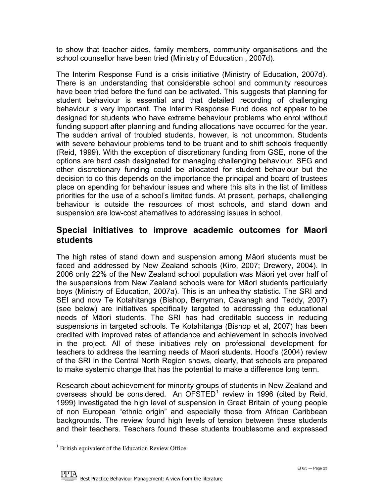<span id="page-22-0"></span>to show that teacher aides, family members, community organisations and the school counsellor have been tried (Ministry of Education , 2007d).

The Interim Response Fund is a crisis initiative (Ministry of Education, 2007d). There is an understanding that considerable school and community resources have been tried before the fund can be activated. This suggests that planning for student behaviour is essential and that detailed recording of challenging behaviour is very important. The Interim Response Fund does not appear to be designed for students who have extreme behaviour problems who enrol without funding support after planning and funding allocations have occurred for the year. The sudden arrival of troubled students, however, is not uncommon. Students with severe behaviour problems tend to be truant and to shift schools frequently (Reid, 1999). With the exception of discretionary funding from GSE, none of the options are hard cash designated for managing challenging behaviour. SEG and other discretionary funding could be allocated for student behaviour but the decision to do this depends on the importance the principal and board of trustees place on spending for behaviour issues and where this sits in the list of limitless priorities for the use of a school's limited funds. At present, perhaps, challenging behaviour is outside the resources of most schools, and stand down and suspension are low-cost alternatives to addressing issues in school.

#### **Special initiatives to improve academic outcomes for Maori students**

The high rates of stand down and suspension among Māori students must be faced and addressed by New Zealand schools (Kiro, 2007; Drewery, 2004). In 2006 only 22% of the New Zealand school population was Māori yet over half of the suspensions from New Zealand schools were for Māori students particularly boys (Ministry of Education, 2007a). This is an unhealthy statistic. The SRI and SEI and now Te Kotahitanga (Bishop, Berryman, Cavanagh and Teddy, 2007) (see below) are initiatives specifically targeted to addressing the educational needs of Māori students. The SRI has had creditable success in reducing suspensions in targeted schools. Te Kotahitanga (Bishop et al, 2007) has been credited with improved rates of attendance and achievement in schools involved in the project. All of these initiatives rely on professional development for teachers to address the learning needs of Maori students. Hood's (2004) review of the SRI in the Central North Region shows, clearly, that schools are prepared to make systemic change that has the potential to make a difference long term.

Research about achievement for minority groups of students in New Zealand and overseas should be considered. An  $\overline{OFSTED}^1$  $\overline{OFSTED}^1$  review in 1996 (cited by Reid, 1999) investigated the high level of suspension in Great Britain of young people of non European "ethnic origin" and especially those from African Caribbean backgrounds. The review found high levels of tension between these students and their teachers. Teachers found these students troublesome and expressed

 $\overline{a}$ 

<span id="page-22-1"></span><sup>&</sup>lt;sup>1</sup> British equivalent of the Education Review Office.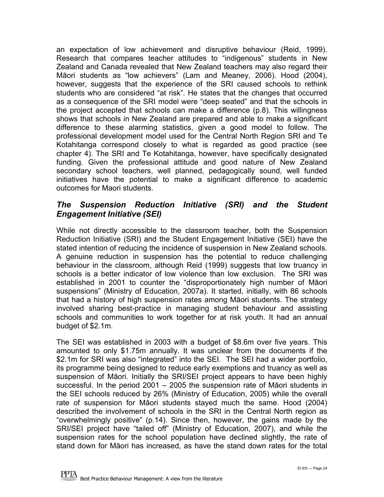an expectation of low achievement and disruptive behaviour (Reid, 1999). Research that compares teacher attitudes to "indigenous" students in New Zealand and Canada revealed that New Zealand teachers may also regard their Māori students as "low achievers" (Lam and Meaney, 2006). Hood (2004), however, suggests that the experience of the SRI caused schools to rethink students who are considered "at risk". He states that the changes that occurred as a consequence of the SRI model were "deep seated" and that the schools in the project accepted that schools can make a difference (p.8). This willingness shows that schools in New Zealand are prepared and able to make a significant difference to these alarming statistics, given a good model to follow. The professional development model used for the Central North Region SRI and Te Kotahitanga correspond closely to what is regarded as good practice (see chapter 4). The SRI and Te Kotahitanga, however, have specifically designated funding. Given the professional attitude and good nature of New Zealand secondary school teachers, well planned, pedagogically sound, well funded initiatives have the potential to make a significant difference to academic outcomes for Maori students.

#### *The Suspension Reduction Initiative (SRI) and the Student Engagement Initiative (SEI)*

While not directly accessible to the classroom teacher, both the Suspension Reduction Initiative (SRI) and the Student Engagement Initiative (SEI) have the stated intention of reducing the incidence of suspension in New Zealand schools. A genuine reduction in suspension has the potential to reduce challenging behaviour in the classroom, although Reid (1999) suggests that low truancy in schools is a better indicator of low violence than low exclusion. The SRI was established in 2001 to counter the "disproportionately high number of Māori suspensions" (Ministry of Education, 2007a). It started, initially, with 86 schools that had a history of high suspension rates among Māori students. The strategy involved sharing best-practice in managing student behaviour and assisting schools and communities to work together for at risk youth. It had an annual budget of \$2.1m.

The SEI was established in 2003 with a budget of \$8.6m over five years. This amounted to only \$1.75m annually. It was unclear from the documents if the \$2.1m for SRI was also "integrated" into the SEI. The SEI had a wider portfolio, its programme being designed to reduce early exemptions and truancy as well as suspension of Māori. Initially the SRI/SEI project appears to have been highly successful. In the period 2001 – 2005 the suspension rate of Māori students in the SEI schools reduced by 26% (Ministry of Education, 2005) while the overall rate of suspension for Māori students stayed much the same. Hood (2004) described the involvement of schools in the SRI in the Central North region as "overwhelmingly positive" (p.14). Since then, however, the gains made by the SRI/SEI project have "tailed off" (Ministry of Education, 2007), and while the suspension rates for the school population have declined slightly, the rate of stand down for Māori has increased, as have the stand down rates for the total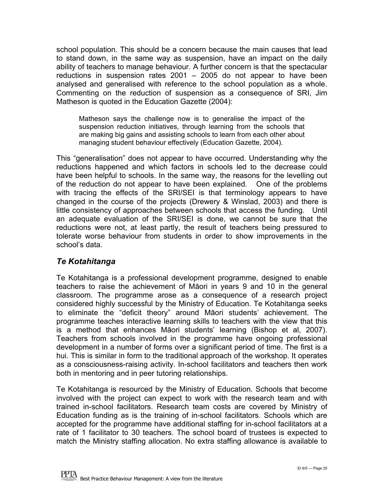school population. This should be a concern because the main causes that lead to stand down, in the same way as suspension, have an impact on the daily ability of teachers to manage behaviour. A further concern is that the spectacular reductions in suspension rates 2001 – 2005 do not appear to have been analysed and generalised with reference to the school population as a whole. Commenting on the reduction of suspension as a consequence of SRI, Jim Matheson is quoted in the Education Gazette (2004):

Matheson says the challenge now is to generalise the impact of the suspension reduction initiatives, through learning from the schools that are making big gains and assisting schools to learn from each other about managing student behaviour effectively (Education Gazette, 2004).

This "generalisation" does not appear to have occurred. Understanding why the reductions happened and which factors in schools led to the decrease could have been helpful to schools. In the same way, the reasons for the levelling out of the reduction do not appear to have been explained. One of the problems with tracing the effects of the SRI/SEI is that terminology appears to have changed in the course of the projects (Drewery & Winslad, 2003) and there is little consistency of approaches between schools that access the funding. Until an adequate evaluation of the SRI/SEI is done, we cannot be sure that the reductions were not, at least partly, the result of teachers being pressured to tolerate worse behaviour from students in order to show improvements in the school's data.

#### *Te Kotahitanga*

Te Kotahitanga is a professional development programme, designed to enable teachers to raise the achievement of Māori in years 9 and 10 in the general classroom. The programme arose as a consequence of a research project considered highly successful by the Ministry of Education. Te Kotahitanga seeks to eliminate the "deficit theory" around Māori students' achievement. The programme teaches interactive learning skills to teachers with the view that this is a method that enhances Māori students' learning (Bishop et al, 2007). Teachers from schools involved in the programme have ongoing professional development in a number of forms over a significant period of time. The first is a hui. This is similar in form to the traditional approach of the workshop. It operates as a consciousness-raising activity. In-school facilitators and teachers then work both in mentoring and in peer tutoring relationships.

Te Kotahitanga is resourced by the Ministry of Education. Schools that become involved with the project can expect to work with the research team and with trained in-school facilitators. Research team costs are covered by Ministry of Education funding as is the training of in-school facilitators. Schools which are accepted for the programme have additional staffing for in-school facilitators at a rate of 1 facilitator to 30 teachers. The school board of trustees is expected to match the Ministry staffing allocation. No extra staffing allowance is available to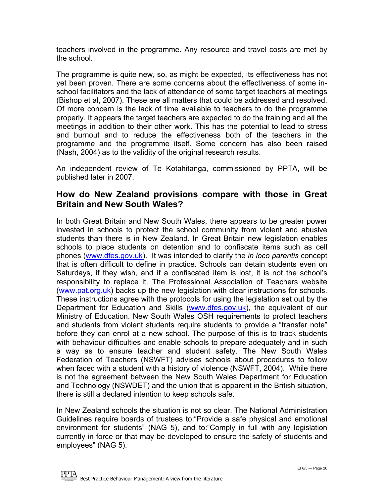<span id="page-25-0"></span>teachers involved in the programme. Any resource and travel costs are met by the school.

The programme is quite new, so, as might be expected, its effectiveness has not yet been proven. There are some concerns about the effectiveness of some inschool facilitators and the lack of attendance of some target teachers at meetings (Bishop et al, 2007). These are all matters that could be addressed and resolved. Of more concern is the lack of time available to teachers to do the programme properly. It appears the target teachers are expected to do the training and all the meetings in addition to their other work. This has the potential to lead to stress and burnout and to reduce the effectiveness both of the teachers in the programme and the programme itself. Some concern has also been raised (Nash, 2004) as to the validity of the original research results.

An independent review of Te Kotahitanga, commissioned by PPTA, will be published later in 2007.

#### **How do New Zealand provisions compare with those in Great Britain and New South Wales?**

In both Great Britain and New South Wales, there appears to be greater power invested in schools to protect the school community from violent and abusive students than there is in New Zealand. In Great Britain new legislation enables schools to place students on detention and to confiscate items such as cell phones ([www.dfes.gov.uk\)](http://www.dfes.gov.uk/). It was intended to clarify the *in loco parentis* concept that is often difficult to define in practice. Schools can detain students even on Saturdays, if they wish, and if a confiscated item is lost, it is not the school's responsibility to replace it. The Professional Association of Teachers website ([www.pat.org.uk\)](http://www.pat.org.uk/) backs up the new legislation with clear instructions for schools. These instructions agree with the protocols for using the legislation set out by the Department for Education and Skills ([www.dfes.gov.uk](http://www.dfes.gov.uk/)), the equivalent of our Ministry of Education. New South Wales OSH requirements to protect teachers and students from violent students require students to provide a "transfer note" before they can enrol at a new school. The purpose of this is to track students with behaviour difficulties and enable schools to prepare adequately and in such a way as to ensure teacher and student safety. The New South Wales Federation of Teachers (NSWFT) advises schools about procedures to follow when faced with a student with a history of violence (NSWFT, 2004). While there is not the agreement between the New South Wales Department for Education and Technology (NSWDET) and the union that is apparent in the British situation, there is still a declared intention to keep schools safe.

In New Zealand schools the situation is not so clear. The National Administration Guidelines require boards of trustees to:"Provide a safe physical and emotional environment for students" (NAG 5), and to:"Comply in full with any legislation currently in force or that may be developed to ensure the safety of students and employees" (NAG 5).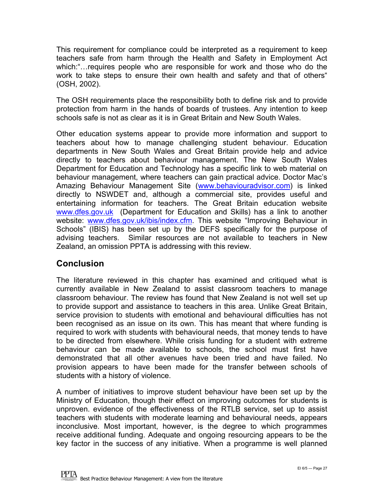This requirement for compliance could be interpreted as a requirement to keep teachers safe from harm through the Health and Safety in Employment Act which:"…requires people who are responsible for work and those who do the work to take steps to ensure their own health and safety and that of others" (OSH, 2002).

The OSH requirements place the responsibility both to define risk and to provide protection from harm in the hands of boards of trustees. Any intention to keep schools safe is not as clear as it is in Great Britain and New South Wales.

Other education systems appear to provide more information and support to teachers about how to manage challenging student behaviour. Education departments in New South Wales and Great Britain provide help and advice directly to teachers about behaviour management. The New South Wales Department for Education and Technology has a specific link to web material on behaviour management, where teachers can gain practical advice. Doctor Mac's Amazing Behaviour Management Site ([www.behaviouradvisor.com\)](http://www.behaviouradvisor.com/) is linked directly to NSWDET and, although a commercial site, provides useful and entertaining information for teachers. The Great Britain education website [www.dfes.gov.uk](http://www.dfes.gov.uk/) (Department for Education and Skills) has a link to another website: [www.dfes.gov.uk/ibis/index.cfm](http://www.dfes.gov.uk/ibis/index.cfm). This website "Improving Behaviour in Schools" (IBIS) has been set up by the DEFS specifically for the purpose of advising teachers. Similar resources are not available to teachers in New Zealand, an omission PPTA is addressing with this review.

#### **Conclusion**

The literature reviewed in this chapter has examined and critiqued what is currently available in New Zealand to assist classroom teachers to manage classroom behaviour. The review has found that New Zealand is not well set up to provide support and assistance to teachers in this area. Unlike Great Britain, service provision to students with emotional and behavioural difficulties has not been recognised as an issue on its own. This has meant that where funding is required to work with students with behavioural needs, that money tends to have to be directed from elsewhere. While crisis funding for a student with extreme behaviour can be made available to schools, the school must first have demonstrated that all other avenues have been tried and have failed. No provision appears to have been made for the transfer between schools of students with a history of violence.

A number of initiatives to improve student behaviour have been set up by the Ministry of Education, though their effect on improving outcomes for students is unproven. evidence of the effectiveness of the RTLB service, set up to assist teachers with students with moderate learning and behavioural needs, appears inconclusive. Most important, however, is the degree to which programmes receive additional funding. Adequate and ongoing resourcing appears to be the key factor in the success of any initiative. When a programme is well planned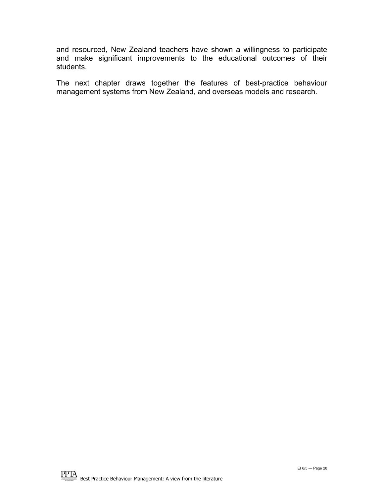and resourced, New Zealand teachers have shown a willingness to participate and make significant improvements to the educational outcomes of their students.

The next chapter draws together the features of best-practice behaviour management systems from New Zealand, and overseas models and research.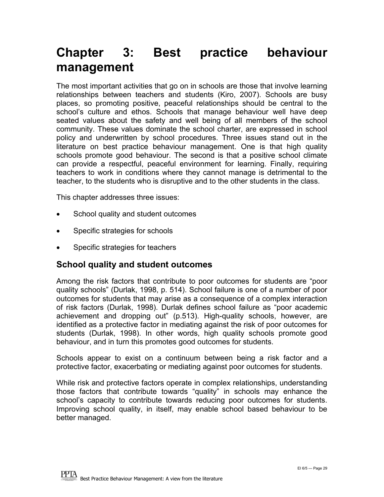### <span id="page-28-0"></span>**Chapter 3: Best practice behaviour management**

The most important activities that go on in schools are those that involve learning relationships between teachers and students (Kiro, 2007). Schools are busy places, so promoting positive, peaceful relationships should be central to the school's culture and ethos. Schools that manage behaviour well have deep seated values about the safety and well being of all members of the school community. These values dominate the school charter, are expressed in school policy and underwritten by school procedures. Three issues stand out in the literature on best practice behaviour management. One is that high quality schools promote good behaviour. The second is that a positive school climate can provide a respectful, peaceful environment for learning. Finally, requiring teachers to work in conditions where they cannot manage is detrimental to the teacher, to the students who is disruptive and to the other students in the class.

This chapter addresses three issues:

- School quality and student outcomes
- Specific strategies for schools
- Specific strategies for teachers

#### **School quality and student outcomes**

Among the risk factors that contribute to poor outcomes for students are "poor quality schools" (Durlak, 1998, p. 514). School failure is one of a number of poor outcomes for students that may arise as a consequence of a complex interaction of risk factors (Durlak, 1998). Durlak defines school failure as "poor academic achievement and dropping out" (p.513). High-quality schools, however, are identified as a protective factor in mediating against the risk of poor outcomes for students (Durlak, 1998). In other words, high quality schools promote good behaviour, and in turn this promotes good outcomes for students.

Schools appear to exist on a continuum between being a risk factor and a protective factor, exacerbating or mediating against poor outcomes for students.

While risk and protective factors operate in complex relationships, understanding those factors that contribute towards "quality" in schools may enhance the school's capacity to contribute towards reducing poor outcomes for students. Improving school quality, in itself, may enable school based behaviour to be better managed.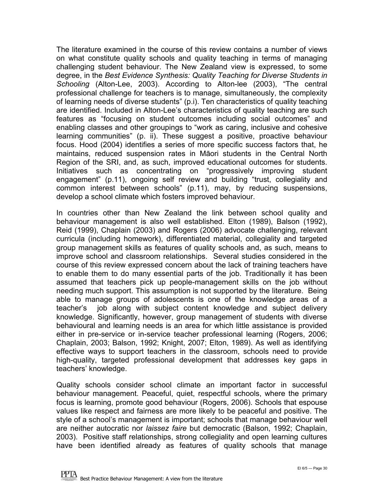The literature examined in the course of this review contains a number of views on what constitute quality schools and quality teaching in terms of managing challenging student behaviour. The New Zealand view is expressed, to some degree, in the *Best Evidence Synthesis: Quality Teaching for Diverse Students in Schooling* (Alton-Lee, 2003). According to Alton-lee (2003), "The central professional challenge for teachers is to manage, simultaneously, the complexity of learning needs of diverse students" (p.i). Ten characteristics of quality teaching are identified. Included in Alton-Lee's characteristics of quality teaching are such features as "focusing on student outcomes including social outcomes" and enabling classes and other groupings to "work as caring, inclusive and cohesive learning communities" (p. ii). These suggest a positive, proactive behaviour focus. Hood (2004) identifies a series of more specific success factors that, he maintains, reduced suspension rates in Māori students in the Central North Region of the SRI, and, as such, improved educational outcomes for students. Initiatives such as concentrating on "progressively improving student engagement" (p.11), ongoing self review and building "trust, collegiality and common interest between schools" (p.11), may, by reducing suspensions, develop a school climate which fosters improved behaviour.

In countries other than New Zealand the link between school quality and behaviour management is also well established. Elton (1989), Balson (1992), Reid (1999), Chaplain (2003) and Rogers (2006) advocate challenging, relevant curricula (including homework), differentiated material, collegiality and targeted group management skills as features of quality schools and, as such, means to improve school and classroom relationships. Several studies considered in the course of this review expressed concern about the lack of training teachers have to enable them to do many essential parts of the job. Traditionally it has been assumed that teachers pick up people-management skills on the job without needing much support. This assumption is not supported by the literature. Being able to manage groups of adolescents is one of the knowledge areas of a teacher's job along with subject content knowledge and subject delivery knowledge. Significantly, however, group management of students with diverse behavioural and learning needs is an area for which little assistance is provided either in pre-service or in-service teacher professional learning (Rogers, 2006; Chaplain, 2003; Balson, 1992; Knight, 2007; Elton, 1989). As well as identifying effective ways to support teachers in the classroom, schools need to provide high-quality, targeted professional development that addresses key gaps in teachers' knowledge.

Quality schools consider school climate an important factor in successful behaviour management. Peaceful, quiet, respectful schools, where the primary focus is learning, promote good behaviour (Rogers, 2006). Schools that espouse values like respect and fairness are more likely to be peaceful and positive. The style of a school's management is important; schools that manage behaviour well are neither autocratic nor *laissez faire* but democratic (Balson, 1992; Chaplain, 2003). Positive staff relationships, strong collegiality and open learning cultures have been identified already as features of quality schools that manage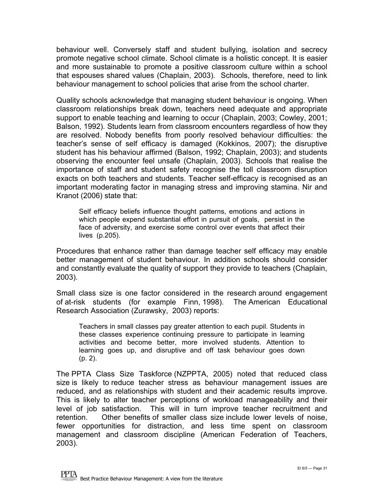behaviour well. Conversely staff and student bullying, isolation and secrecy promote negative school climate. School climate is a holistic concept. It is easier and more sustainable to promote a positive classroom culture within a school that espouses shared values (Chaplain, 2003). Schools, therefore, need to link behaviour management to school policies that arise from the school charter.

Quality schools acknowledge that managing student behaviour is ongoing. When classroom relationships break down, teachers need adequate and appropriate support to enable teaching and learning to occur (Chaplain, 2003; Cowley, 2001; Balson, 1992). Students learn from classroom encounters regardless of how they are resolved. Nobody benefits from poorly resolved behaviour difficulties: the teacher's sense of self efficacy is damaged (Kokkinos, 2007); the disruptive student has his behaviour affirmed (Balson, 1992; Chaplain, 2003); and students observing the encounter feel unsafe (Chaplain, 2003). Schools that realise the importance of staff and student safety recognise the toll classroom disruption exacts on both teachers and students. Teacher self-efficacy is recognised as an important moderating factor in managing stress and improving stamina. Nir and Kranot (2006) state that:

Self efficacy beliefs influence thought patterns, emotions and actions in which people expend substantial effort in pursuit of goals, persist in the face of adversity, and exercise some control over events that affect their lives (p.205).

Procedures that enhance rather than damage teacher self efficacy may enable better management of student behaviour. In addition schools should consider and constantly evaluate the quality of support they provide to teachers (Chaplain, 2003).

Small class size is one factor considered in the research around engagement of at-risk students (for example Finn, 1998). The American Educational Research Association (Zurawsky, 2003) reports:

Teachers in small classes pay greater attention to each pupil. Students in these classes experience continuing pressure to participate in learning activities and become better, more involved students. Attention to learning goes up, and disruptive and off task behaviour goes down (p. 2).

The PPTA Class Size Taskforce (NZPPTA, 2005) noted that reduced class size is likely to reduce teacher stress as behaviour management issues are reduced, and as relationships with student and their academic results improve. This is likely to alter teacher perceptions of workload manageability and their level of job satisfaction. This will in turn improve teacher recruitment and retention. Other benefits of smaller class size include lower levels of noise, fewer opportunities for distraction, and less time spent on classroom management and classroom discipline (American Federation of Teachers, 2003).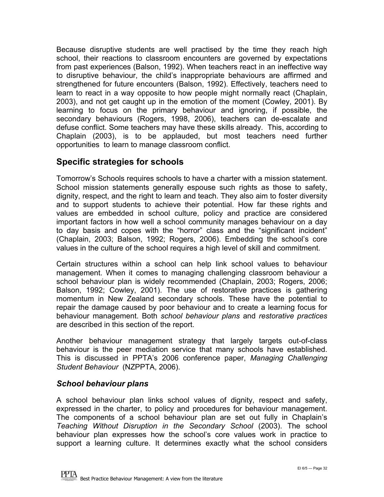<span id="page-31-0"></span>Because disruptive students are well practised by the time they reach high school, their reactions to classroom encounters are governed by expectations from past experiences (Balson, 1992). When teachers react in an ineffective way to disruptive behaviour, the child's inappropriate behaviours are affirmed and strengthened for future encounters (Balson, 1992). Effectively, teachers need to learn to react in a way opposite to how people might normally react (Chaplain, 2003), and not get caught up in the emotion of the moment (Cowley, 2001). By learning to focus on the primary behaviour and ignoring, if possible, the secondary behaviours (Rogers, 1998, 2006), teachers can de-escalate and defuse conflict. Some teachers may have these skills already. This, according to Chaplain (2003), is to be applauded, but most teachers need further opportunities to learn to manage classroom conflict.

#### **Specific strategies for schools**

Tomorrow's Schools requires schools to have a charter with a mission statement. School mission statements generally espouse such rights as those to safety, dignity, respect, and the right to learn and teach. They also aim to foster diversity and to support students to achieve their potential. How far these rights and values are embedded in school culture, policy and practice are considered important factors in how well a school community manages behaviour on a day to day basis and copes with the "horror" class and the "significant incident" (Chaplain, 2003; Balson, 1992; Rogers, 2006). Embedding the school's core values in the culture of the school requires a high level of skill and commitment.

Certain structures within a school can help link school values to behaviour management. When it comes to managing challenging classroom behaviour a school behaviour plan is widely recommended (Chaplain, 2003; Rogers, 2006; Balson, 1992; Cowley, 2001). The use of restorative practices is gathering momentum in New Zealand secondary schools. These have the potential to repair the damage caused by poor behaviour and to create a learning focus for behaviour management. Both *school behaviour plans* and *restorative practices* are described in this section of the report.

Another behaviour management strategy that largely targets out-of-class behaviour is the peer mediation service that many schools have established. This is discussed in PPTA's 2006 conference paper, *Managing Challenging Student Behaviour* (NZPPTA, 2006).

#### *School behaviour plans*

A school behaviour plan links school values of dignity, respect and safety, expressed in the charter, to policy and procedures for behaviour management. The components of a school behaviour plan are set out fully in Chaplain's *Teaching Without Disruption in the Secondary School* (2003). The school behaviour plan expresses how the school's core values work in practice to support a learning culture. It determines exactly what the school considers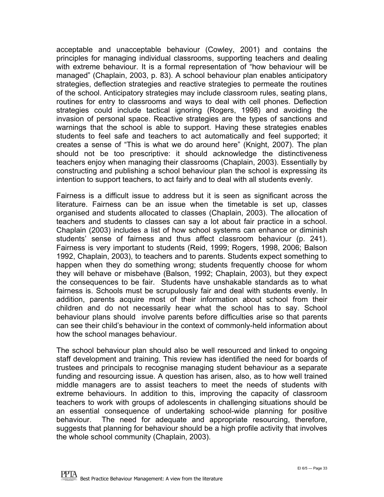acceptable and unacceptable behaviour (Cowley, 2001) and contains the principles for managing individual classrooms, supporting teachers and dealing with extreme behaviour. It is a formal representation of "how behaviour will be managed" (Chaplain, 2003, p. 83). A school behaviour plan enables anticipatory strategies, deflection strategies and reactive strategies to permeate the routines of the school. Anticipatory strategies may include classroom rules, seating plans, routines for entry to classrooms and ways to deal with cell phones. Deflection strategies could include tactical ignoring (Rogers, 1998) and avoiding the invasion of personal space. Reactive strategies are the types of sanctions and warnings that the school is able to support. Having these strategies enables students to feel safe and teachers to act automatically and feel supported; it creates a sense of "This is what we do around here" (Knight, 2007). The plan should not be too prescriptive: it should acknowledge the distinctiveness teachers enjoy when managing their classrooms (Chaplain, 2003). Essentially by constructing and publishing a school behaviour plan the school is expressing its intention to support teachers, to act fairly and to deal with all students evenly.

Fairness is a difficult issue to address but it is seen as significant across the literature. Fairness can be an issue when the timetable is set up, classes organised and students allocated to classes (Chaplain, 2003). The allocation of teachers and students to classes can say a lot about fair practice in a school. Chaplain (2003) includes a list of how school systems can enhance or diminish students' sense of fairness and thus affect classroom behaviour (p. 241). Fairness is very important to students (Reid, 1999; Rogers, 1998, 2006; Balson 1992, Chaplain, 2003), to teachers and to parents. Students expect something to happen when they do something wrong; students frequently choose for whom they will behave or misbehave (Balson, 1992; Chaplain, 2003), but they expect the consequences to be fair. Students have unshakable standards as to what fairness is. Schools must be scrupulously fair and deal with students evenly. In addition, parents acquire most of their information about school from their children and do not necessarily hear what the school has to say. School behaviour plans should involve parents before difficulties arise so that parents can see their child's behaviour in the context of commonly-held information about how the school manages behaviour.

The school behaviour plan should also be well resourced and linked to ongoing staff development and training. This review has identified the need for boards of trustees and principals to recognise managing student behaviour as a separate funding and resourcing issue. A question has arisen, also, as to how well trained middle managers are to assist teachers to meet the needs of students with extreme behaviours. In addition to this, improving the capacity of classroom teachers to work with groups of adolescents in challenging situations should be an essential consequence of undertaking school-wide planning for positive behaviour. The need for adequate and appropriate resourcing, therefore, suggests that planning for behaviour should be a high profile activity that involves the whole school community (Chaplain, 2003).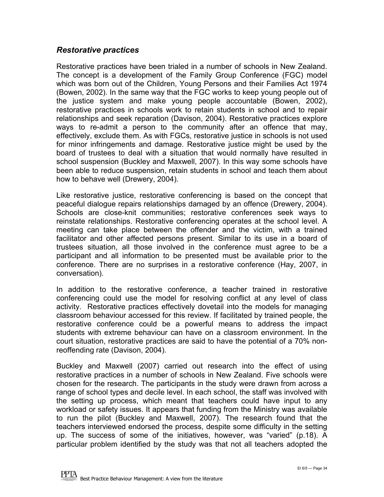#### *Restorative practices*

Restorative practices have been trialed in a number of schools in New Zealand. The concept is a development of the Family Group Conference (FGC) model which was born out of the Children, Young Persons and their Families Act 1974 (Bowen, 2002). In the same way that the FGC works to keep young people out of the justice system and make young people accountable (Bowen, 2002), restorative practices in schools work to retain students in school and to repair relationships and seek reparation (Davison, 2004). Restorative practices explore ways to re-admit a person to the community after an offence that may, effectively, exclude them. As with FGCs, restorative justice in schools is not used for minor infringements and damage. Restorative justice might be used by the board of trustees to deal with a situation that would normally have resulted in school suspension (Buckley and Maxwell, 2007). In this way some schools have been able to reduce suspension, retain students in school and teach them about how to behave well (Drewery, 2004).

Like restorative justice, restorative conferencing is based on the concept that peaceful dialogue repairs relationships damaged by an offence (Drewery, 2004). Schools are close-knit communities; restorative conferences seek ways to reinstate relationships. Restorative conferencing operates at the school level. A meeting can take place between the offender and the victim, with a trained facilitator and other affected persons present. Similar to its use in a board of trustees situation, all those involved in the conference must agree to be a participant and all information to be presented must be available prior to the conference. There are no surprises in a restorative conference (Hay, 2007, in conversation).

In addition to the restorative conference, a teacher trained in restorative conferencing could use the model for resolving conflict at any level of class activity. Restorative practices effectively dovetail into the models for managing classroom behaviour accessed for this review. If facilitated by trained people, the restorative conference could be a powerful means to address the impact students with extreme behaviour can have on a classroom environment. In the court situation, restorative practices are said to have the potential of a 70% nonreoffending rate (Davison, 2004).

Buckley and Maxwell (2007) carried out research into the effect of using restorative practices in a number of schools in New Zealand. Five schools were chosen for the research. The participants in the study were drawn from across a range of school types and decile level. In each school, the staff was involved with the setting up process, which meant that teachers could have input to any workload or safety issues. It appears that funding from the Ministry was available to run the pilot (Buckley and Maxwell, 2007). The research found that the teachers interviewed endorsed the process, despite some difficulty in the setting up. The success of some of the initiatives, however, was "varied" (p.18). A particular problem identified by the study was that not all teachers adopted the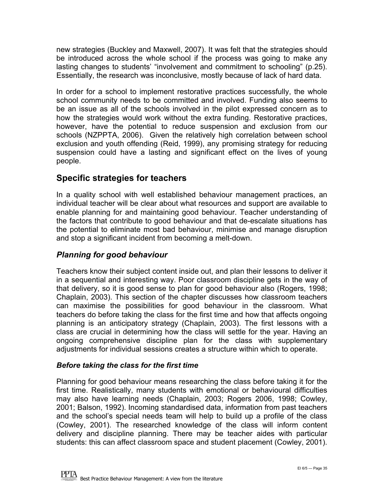<span id="page-34-0"></span>new strategies (Buckley and Maxwell, 2007). It was felt that the strategies should be introduced across the whole school if the process was going to make any lasting changes to students' "involvement and commitment to schooling" (p.25). Essentially, the research was inconclusive, mostly because of lack of hard data.

In order for a school to implement restorative practices successfully, the whole school community needs to be committed and involved. Funding also seems to be an issue as all of the schools involved in the pilot expressed concern as to how the strategies would work without the extra funding. Restorative practices, however, have the potential to reduce suspension and exclusion from our schools (NZPPTA, 2006). Given the relatively high correlation between school exclusion and youth offending (Reid, 1999), any promising strategy for reducing suspension could have a lasting and significant effect on the lives of young people.

#### **Specific strategies for teachers**

In a quality school with well established behaviour management practices, an individual teacher will be clear about what resources and support are available to enable planning for and maintaining good behaviour. Teacher understanding of the factors that contribute to good behaviour and that de-escalate situations has the potential to eliminate most bad behaviour, minimise and manage disruption and stop a significant incident from becoming a melt-down.

#### *Planning for good behaviour*

Teachers know their subject content inside out, and plan their lessons to deliver it in a sequential and interesting way. Poor classroom discipline gets in the way of that delivery, so it is good sense to plan for good behaviour also (Rogers, 1998; Chaplain, 2003). This section of the chapter discusses how classroom teachers can maximise the possibilities for good behaviour in the classroom. What teachers do before taking the class for the first time and how that affects ongoing planning is an anticipatory strategy (Chaplain, 2003). The first lessons with a class are crucial in determining how the class will settle for the year. Having an ongoing comprehensive discipline plan for the class with supplementary adjustments for individual sessions creates a structure within which to operate.

#### *Before taking the class for the first time*

Planning for good behaviour means researching the class before taking it for the first time. Realistically, many students with emotional or behavioural difficulties may also have learning needs (Chaplain, 2003; Rogers 2006, 1998; Cowley, 2001; Balson, 1992). Incoming standardised data, information from past teachers and the school's special needs team will help to build up a profile of the class (Cowley, 2001). The researched knowledge of the class will inform content delivery and discipline planning. There may be teacher aides with particular students: this can affect classroom space and student placement (Cowley, 2001).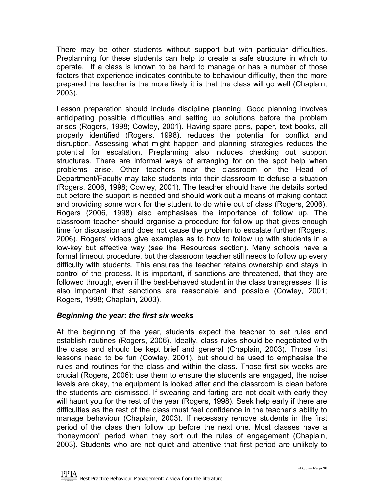There may be other students without support but with particular difficulties. Preplanning for these students can help to create a safe structure in which to operate. If a class is known to be hard to manage or has a number of those factors that experience indicates contribute to behaviour difficulty, then the more prepared the teacher is the more likely it is that the class will go well (Chaplain, 2003).

Lesson preparation should include discipline planning. Good planning involves anticipating possible difficulties and setting up solutions before the problem arises (Rogers, 1998; Cowley, 2001). Having spare pens, paper, text books, all properly identified (Rogers, 1998), reduces the potential for conflict and disruption. Assessing what might happen and planning strategies reduces the potential for escalation. Preplanning also includes checking out support structures. There are informal ways of arranging for on the spot help when problems arise. Other teachers near the classroom or the Head of Department/Faculty may take students into their classroom to defuse a situation (Rogers, 2006, 1998; Cowley, 2001). The teacher should have the details sorted out before the support is needed and should work out a means of making contact and providing some work for the student to do while out of class (Rogers, 2006). Rogers (2006, 1998) also emphasises the importance of follow up. The classroom teacher should organise a procedure for follow up that gives enough time for discussion and does not cause the problem to escalate further (Rogers, 2006). Rogers' videos give examples as to how to follow up with students in a low-key but effective way (see the Resources section). Many schools have a formal timeout procedure, but the classroom teacher still needs to follow up every difficulty with students. This ensures the teacher retains ownership and stays in control of the process. It is important, if sanctions are threatened, that they are followed through, even if the best-behaved student in the class transgresses. It is also important that sanctions are reasonable and possible (Cowley, 2001; Rogers, 1998; Chaplain, 2003).

#### *Beginning the year: the first six weeks*

At the beginning of the year, students expect the teacher to set rules and establish routines (Rogers, 2006). Ideally, class rules should be negotiated with the class and should be kept brief and general (Chaplain, 2003). Those first lessons need to be fun (Cowley, 2001), but should be used to emphasise the rules and routines for the class and within the class. Those first six weeks are crucial (Rogers, 2006): use them to ensure the students are engaged, the noise levels are okay, the equipment is looked after and the classroom is clean before the students are dismissed. If swearing and farting are not dealt with early they will haunt you for the rest of the year (Rogers, 1998). Seek help early if there are difficulties as the rest of the class must feel confidence in the teacher's ability to manage behaviour (Chaplain, 2003). If necessary remove students in the first period of the class then follow up before the next one. Most classes have a "honeymoon" period when they sort out the rules of engagement (Chaplain, 2003). Students who are not quiet and attentive that first period are unlikely to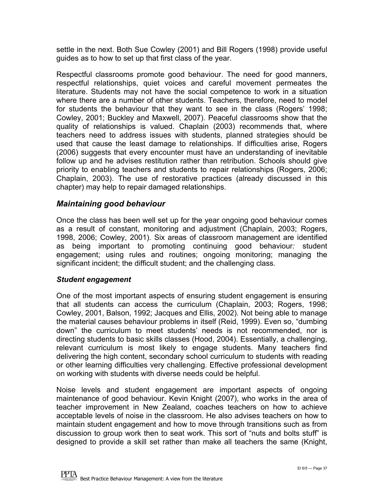settle in the next. Both Sue Cowley (2001) and Bill Rogers (1998) provide useful guides as to how to set up that first class of the year.

Respectful classrooms promote good behaviour. The need for good manners, respectful relationships, quiet voices and careful movement permeates the literature. Students may not have the social competence to work in a situation where there are a number of other students. Teachers, therefore, need to model for students the behaviour that they want to see in the class (Rogers' 1998; Cowley, 2001; Buckley and Maxwell, 2007). Peaceful classrooms show that the quality of relationships is valued. Chaplain (2003) recommends that, where teachers need to address issues with students, planned strategies should be used that cause the least damage to relationships. If difficulties arise, Rogers (2006) suggests that every encounter must have an understanding of inevitable follow up and he advises restitution rather than retribution. Schools should give priority to enabling teachers and students to repair relationships (Rogers, 2006; Chaplain, 2003). The use of restorative practices (already discussed in this chapter) may help to repair damaged relationships.

#### *Maintaining good behaviour*

Once the class has been well set up for the year ongoing good behaviour comes as a result of constant, monitoring and adjustment (Chaplain, 2003; Rogers, 1998, 2006; Cowley, 2001). Six areas of classroom management are identified as being important to promoting continuing good behaviour*:* student engagement; using rules and routines; ongoing monitoring; managing the significant incident; the difficult student; and the challenging class.

#### *Student engagement*

One of the most important aspects of ensuring student engagement is ensuring that all students can access the curriculum (Chaplain, 2003; Rogers, 1998; Cowley, 2001, Balson, 1992; Jacques and Ellis, 2002). Not being able to manage the material causes behaviour problems in itself (Reid, 1999). Even so, "dumbing down" the curriculum to meet students' needs is not recommended, nor is directing students to basic skills classes (Hood, 2004). Essentially, a challenging, relevant curriculum is most likely to engage students. Many teachers find delivering the high content, secondary school curriculum to students with reading or other learning difficulties very challenging. Effective professional development on working with students with diverse needs could be helpful.

Noise levels and student engagement are important aspects of ongoing maintenance of good behaviour. Kevin Knight (2007), who works in the area of teacher improvement in New Zealand, coaches teachers on how to achieve acceptable levels of noise in the classroom. He also advises teachers on how to maintain student engagement and how to move through transitions such as from discussion to group work then to seat work. This sort of "nuts and bolts stuff" is designed to provide a skill set rather than make all teachers the same (Knight,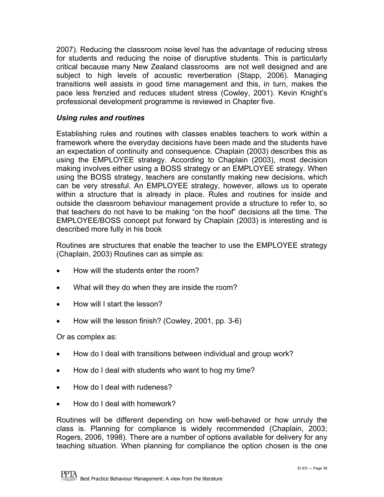2007). Reducing the classroom noise level has the advantage of reducing stress for students and reducing the noise of disruptive students. This is particularly critical because many New Zealand classrooms are not well designed and are subject to high levels of acoustic reverberation (Stapp, 2006). Managing transitions well assists in good time management and this, in turn, makes the pace less frenzied and reduces student stress (Cowley, 2001). Kevin Knight's professional development programme is reviewed in Chapter five.

#### *Using rules and routines*

Establishing rules and routines with classes enables teachers to work within a framework where the everyday decisions have been made and the students have an expectation of continuity and consequence. Chaplain (2003) describes this as using the EMPLOYEE strategy. According to Chaplain (2003), most decision making involves either using a BOSS strategy or an EMPLOYEE strategy. When using the BOSS strategy, teachers are constantly making new decisions, which can be very stressful. An EMPLOYEE strategy, however, allows us to operate within a structure that is already in place. Rules and routines for inside and outside the classroom behaviour management provide a structure to refer to, so that teachers do not have to be making "on the hoof" decisions all the time. The EMPLOYEE/BOSS concept put forward by Chaplain (2003) is interesting and is described more fully in his book

Routines are structures that enable the teacher to use the EMPLOYEE strategy (Chaplain, 2003) Routines can as simple as:

- How will the students enter the room?
- What will they do when they are inside the room?
- How will I start the lesson?
- How will the lesson finish? (Cowley, 2001, pp. 3-6)

Or as complex as:

- How do I deal with transitions between individual and group work?
- How do I deal with students who want to hog my time?
- How do I deal with rudeness?
- How do I deal with homework?

Routines will be different depending on how well-behaved or how unruly the class is. Planning for compliance is widely recommended (Chaplain, 2003; Rogers, 2006, 1998). There are a number of options available for delivery for any teaching situation. When planning for compliance the option chosen is the one

**PPTA**<br>Best Practice Behaviour Management: A view from the literature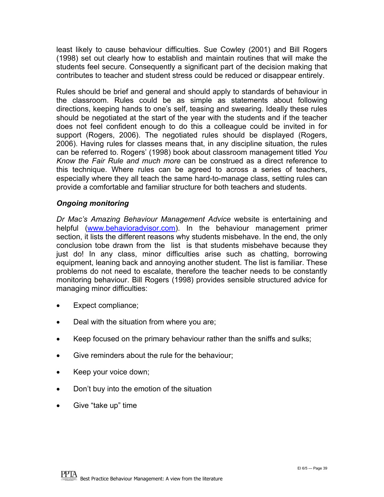least likely to cause behaviour difficulties. Sue Cowley (2001) and Bill Rogers (1998) set out clearly how to establish and maintain routines that will make the students feel secure. Consequently a significant part of the decision making that contributes to teacher and student stress could be reduced or disappear entirely.

Rules should be brief and general and should apply to standards of behaviour in the classroom. Rules could be as simple as statements about following directions, keeping hands to one's self, teasing and swearing. Ideally these rules should be negotiated at the start of the year with the students and if the teacher does not feel confident enough to do this a colleague could be invited in for support (Rogers, 2006). The negotiated rules should be displayed (Rogers, 2006). Having rules for classes means that, in any discipline situation, the rules can be referred to. Rogers' (1998) book about classroom management titled *You Know the Fair Rule and much more* can be construed as a direct reference to this technique. Where rules can be agreed to across a series of teachers, especially where they all teach the same hard-to-manage class, setting rules can provide a comfortable and familiar structure for both teachers and students.

#### *Ongoing monitoring*

*Dr Mac's Amazing Behaviour Management Advice* website is entertaining and helpful ([www.behavioradvisor.com\)](http://www.behavioradvisor.com/). In the behaviour management primer section, it lists the different reasons why students misbehave. In the end, the only conclusion tobe drawn from the list is that students misbehave because they just do! In any class, minor difficulties arise such as chatting, borrowing equipment, leaning back and annoying another student. The list is familiar. These problems do not need to escalate, therefore the teacher needs to be constantly monitoring behaviour. Bill Rogers (1998) provides sensible structured advice for managing minor difficulties:

- Expect compliance;
- Deal with the situation from where you are;
- Keep focused on the primary behaviour rather than the sniffs and sulks;
- Give reminders about the rule for the behaviour;
- Keep your voice down;
- Don't buy into the emotion of the situation
- Give "take up" time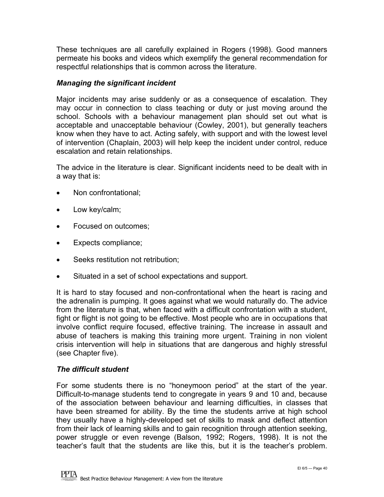These techniques are all carefully explained in Rogers (1998). Good manners permeate his books and videos which exemplify the general recommendation for respectful relationships that is common across the literature.

#### *Managing the significant incident*

Major incidents may arise suddenly or as a consequence of escalation. They may occur in connection to class teaching or duty or just moving around the school. Schools with a behaviour management plan should set out what is acceptable and unacceptable behaviour (Cowley, 2001), but generally teachers know when they have to act. Acting safely, with support and with the lowest level of intervention (Chaplain, 2003) will help keep the incident under control, reduce escalation and retain relationships.

The advice in the literature is clear. Significant incidents need to be dealt with in a way that is:

- Non confrontational;
- Low key/calm;
- Focused on outcomes;
- Expects compliance;
- Seeks restitution not retribution:
- Situated in a set of school expectations and support.

It is hard to stay focused and non-confrontational when the heart is racing and the adrenalin is pumping. It goes against what we would naturally do. The advice from the literature is that, when faced with a difficult confrontation with a student, fight or flight is not going to be effective. Most people who are in occupations that involve conflict require focused, effective training. The increase in assault and abuse of teachers is making this training more urgent. Training in non violent crisis intervention will help in situations that are dangerous and highly stressful (see Chapter five).

#### *The difficult student*

For some students there is no "honeymoon period" at the start of the year. Difficult-to-manage students tend to congregate in years 9 and 10 and, because of the association between behaviour and learning difficulties, in classes that have been streamed for ability. By the time the students arrive at high school they usually have a highly-developed set of skills to mask and deflect attention from their lack of learning skills and to gain recognition through attention seeking, power struggle or even revenge (Balson, 1992; Rogers, 1998). It is not the teacher's fault that the students are like this, but it is the teacher's problem.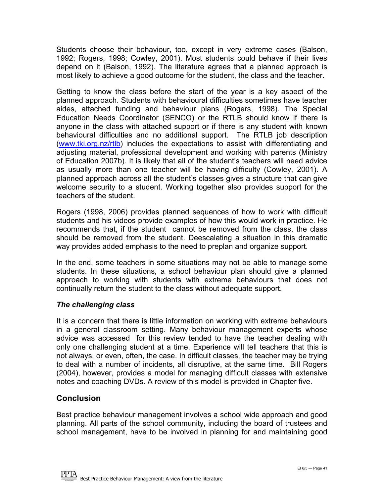Students choose their behaviour, too, except in very extreme cases (Balson, 1992; Rogers, 1998; Cowley, 2001). Most students could behave if their lives depend on it (Balson, 1992). The literature agrees that a planned approach is most likely to achieve a good outcome for the student, the class and the teacher.

Getting to know the class before the start of the year is a key aspect of the planned approach. Students with behavioural difficulties sometimes have teacher aides, attached funding and behaviour plans (Rogers, 1998). The Special Education Needs Coordinator (SENCO) or the RTLB should know if there is anyone in the class with attached support or if there is any student with known behavioural difficulties and no additional support. The RTLB job description ([www.tki.org.nz/rtlb](http://www.tki.org.nz/rtlb)) includes the expectations to assist with differentiating and adjusting material, professional development and working with parents (Ministry of Education 2007b). It is likely that all of the student's teachers will need advice as usually more than one teacher will be having difficulty (Cowley, 2001). A planned approach across all the student's classes gives a structure that can give welcome security to a student. Working together also provides support for the teachers of the student.

Rogers (1998, 2006) provides planned sequences of how to work with difficult students and his videos provide examples of how this would work in practice. He recommends that, if the student cannot be removed from the class, the class should be removed from the student. Deescalating a situation in this dramatic way provides added emphasis to the need to preplan and organize support.

In the end, some teachers in some situations may not be able to manage some students. In these situations, a school behaviour plan should give a planned approach to working with students with extreme behaviours that does not continually return the student to the class without adequate support.

#### *The challenging class*

It is a concern that there is little information on working with extreme behaviours in a general classroom setting. Many behaviour management experts whose advice was accessed for this review tended to have the teacher dealing with only one challenging student at a time. Experience will tell teachers that this is not always, or even, often, the case. In difficult classes, the teacher may be trying to deal with a number of incidents, all disruptive, at the same time. Bill Rogers (2004), however, provides a model for managing difficult classes with extensive notes and coaching DVDs. A review of this model is provided in Chapter five.

#### **Conclusion**

Best practice behaviour management involves a school wide approach and good planning. All parts of the school community, including the board of trustees and school management, have to be involved in planning for and maintaining good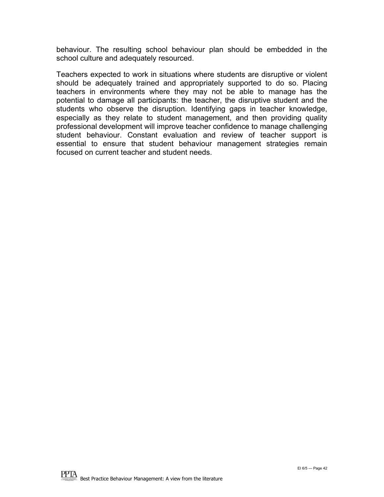behaviour. The resulting school behaviour plan should be embedded in the school culture and adequately resourced.

Teachers expected to work in situations where students are disruptive or violent should be adequately trained and appropriately supported to do so. Placing teachers in environments where they may not be able to manage has the potential to damage all participants: the teacher, the disruptive student and the students who observe the disruption. Identifying gaps in teacher knowledge, especially as they relate to student management, and then providing quality professional development will improve teacher confidence to manage challenging student behaviour. Constant evaluation and review of teacher support is essential to ensure that student behaviour management strategies remain focused on current teacher and student needs.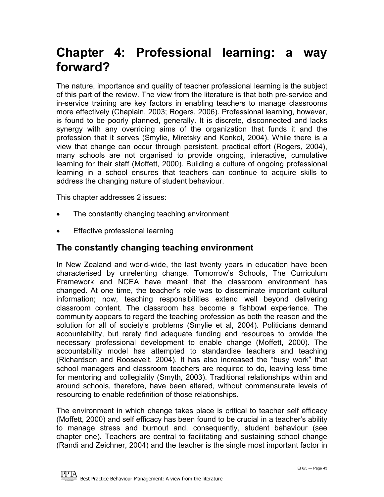### <span id="page-42-0"></span>**Chapter 4: Professional learning: a way forward?**

The nature, importance and quality of teacher professional learning is the subject of this part of the review. The view from the literature is that both pre-service and in-service training are key factors in enabling teachers to manage classrooms more effectively (Chaplain, 2003; Rogers, 2006). Professional learning, however, is found to be poorly planned, generally. It is discrete, disconnected and lacks synergy with any overriding aims of the organization that funds it and the profession that it serves (Smylie, Miretsky and Konkol, 2004). While there is a view that change can occur through persistent, practical effort (Rogers, 2004), many schools are not organised to provide ongoing, interactive, cumulative learning for their staff (Moffett, 2000). Building a culture of ongoing professional learning in a school ensures that teachers can continue to acquire skills to address the changing nature of student behaviour.

This chapter addresses 2 issues:

- The constantly changing teaching environment
- **Effective professional learning**

#### **The constantly changing teaching environment**

In New Zealand and world-wide, the last twenty years in education have been characterised by unrelenting change. Tomorrow's Schools, The Curriculum Framework and NCEA have meant that the classroom environment has changed. At one time, the teacher's role was to disseminate important cultural information; now, teaching responsibilities extend well beyond delivering classroom content. The classroom has become a fishbowl experience. The community appears to regard the teaching profession as both the reason and the solution for all of society's problems (Smylie et al, 2004). Politicians demand accountability, but rarely find adequate funding and resources to provide the necessary professional development to enable change (Moffett, 2000). The accountability model has attempted to standardise teachers and teaching (Richardson and Roosevelt, 2004). It has also increased the "busy work" that school managers and classroom teachers are required to do, leaving less time for mentoring and collegiality (Smyth, 2003). Traditional relationships within and around schools, therefore, have been altered, without commensurate levels of resourcing to enable redefinition of those relationships.

The environment in which change takes place is critical to teacher self efficacy (Moffett, 2000) and self efficacy has been found to be crucial in a teacher's ability to manage stress and burnout and, consequently, student behaviour (see chapter one). Teachers are central to facilitating and sustaining school change (Randi and Zeichner, 2004) and the teacher is the single most important factor in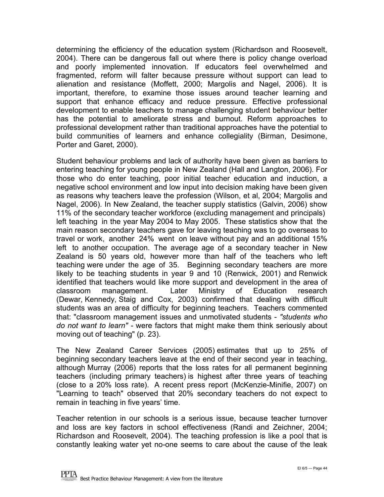determining the efficiency of the education system (Richardson and Roosevelt, 2004). There can be dangerous fall out where there is policy change overload and poorly implemented innovation. If educators feel overwhelmed and fragmented, reform will falter because pressure without support can lead to alienation and resistance (Moffett, 2000; Margolis and Nagel, 2006). It is important, therefore, to examine those issues around teacher learning and support that enhance efficacy and reduce pressure. Effective professional development to enable teachers to manage challenging student behaviour better has the potential to ameliorate stress and burnout. Reform approaches to professional development rather than traditional approaches have the potential to build communities of learners and enhance collegiality (Birman, Desimone, Porter and Garet, 2000).

Student behaviour problems and lack of authority have been given as barriers to entering teaching for young people in New Zealand (Hall and Langton, 2006). For those who do enter teaching, poor initial teacher education and induction, a negative school environment and low input into decision making have been given as reasons why teachers leave the profession (Wilson, et al, 2004; Margolis and Nagel, 2006). In New Zealand, the teacher supply statistics (Galvin, 2006) show 11% of the secondary teacher workforce (excluding management and principals) left teaching in the year May 2004 to May 2005. These statistics show that the main reason secondary teachers gave for leaving teaching was to go overseas to travel or work, another 24% went on leave without pay and an additional 15% left to another occupation. The average age of a secondary teacher in New Zealand is 50 years old, however more than half of the teachers who left teaching were under the age of 35. Beginning secondary teachers are more likely to be teaching students in year 9 and 10 (Renwick, 2001) and Renwick identified that teachers would like more support and development in the area of classroom management. Later Ministry of Education research (Dewar, Kennedy, Staig and Cox, 2003) confirmed that dealing with difficult students was an area of difficulty for beginning teachers. Teachers commented that: "classroom management issues and unmotivated students - *"students who do not want to learn" -* were factors that might make them think seriously about moving out of teaching" (p. 23).

The New Zealand Career Services (2005) estimates that up to 25% of beginning secondary teachers leave at the end of their second year in teaching, although Murray (2006) reports that the loss rates for all permanent beginning teachers (including primary teachers) is highest after three years of teaching (close to a 20% loss rate). A recent press report (McKenzie-Minifie, 2007) on "Learning to teach" observed that 20% secondary teachers do not expect to remain in teaching in five years' time.

Teacher retention in our schools is a serious issue, because teacher turnover and loss are key factors in school effectiveness (Randi and Zeichner, 2004; Richardson and Roosevelt, 2004). The teaching profession is like a pool that is constantly leaking water yet no-one seems to care about the cause of the leak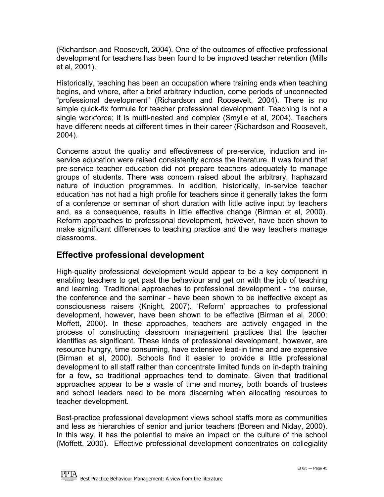<span id="page-44-0"></span>(Richardson and Roosevelt, 2004). One of the outcomes of effective professional development for teachers has been found to be improved teacher retention (Mills et al, 2001).

Historically, teaching has been an occupation where training ends when teaching begins, and where, after a brief arbitrary induction, come periods of unconnected "professional development" (Richardson and Roosevelt, 2004). There is no simple quick-fix formula for teacher professional development. Teaching is not a single workforce; it is multi-nested and complex (Smylie et al, 2004). Teachers have different needs at different times in their career (Richardson and Roosevelt, 2004).

Concerns about the quality and effectiveness of pre-service, induction and inservice education were raised consistently across the literature. It was found that pre-service teacher education did not prepare teachers adequately to manage groups of students. There was concern raised about the arbitrary, haphazard nature of induction programmes. In addition, historically, in-service teacher education has not had a high profile for teachers since it generally takes the form of a conference or seminar of short duration with little active input by teachers and, as a consequence, results in little effective change (Birman et al, 2000). Reform approaches to professional development, however, have been shown to make significant differences to teaching practice and the way teachers manage classrooms.

#### **Effective professional development**

High-quality professional development would appear to be a key component in enabling teachers to get past the behaviour and get on with the job of teaching and learning. Traditional approaches to professional development - the course, the conference and the seminar - have been shown to be ineffective except as consciousness raisers (Knight, 2007). 'Reform' approaches to professional development, however, have been shown to be effective (Birman et al, 2000; Moffett, 2000). In these approaches, teachers are actively engaged in the process of constructing classroom management practices that the teacher identifies as significant. These kinds of professional development, however, are resource hungry, time consuming, have extensive lead-in time and are expensive (Birman et al, 2000). Schools find it easier to provide a little professional development to all staff rather than concentrate limited funds on in-depth training for a few, so traditional approaches tend to dominate. Given that traditional approaches appear to be a waste of time and money, both boards of trustees and school leaders need to be more discerning when allocating resources to teacher development.

Best-practice professional development views school staffs more as communities and less as hierarchies of senior and junior teachers (Boreen and Niday, 2000). In this way, it has the potential to make an impact on the culture of the school (Moffett, 2000). Effective professional development concentrates on collegiality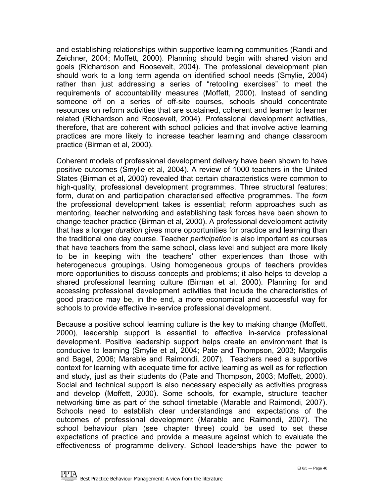and establishing relationships within supportive learning communities (Randi and Zeichner, 2004; Moffett, 2000). Planning should begin with shared vision and goals (Richardson and Roosevelt, 2004). The professional development plan should work to a long term agenda on identified school needs (Smylie, 2004) rather than just addressing a series of "retooling exercises" to meet the requirements of accountability measures (Moffett, 2000). Instead of sending someone off on a series of off-site courses, schools should concentrate resources on reform activities that are sustained, coherent and learner to learner related (Richardson and Roosevelt, 2004). Professional development activities, therefore, that are coherent with school policies and that involve active learning practices are more likely to increase teacher learning and change classroom practice (Birman et al, 2000).

Coherent models of professional development delivery have been shown to have positive outcomes (Smylie et al, 2004). A review of 1000 teachers in the United States (Birman et al, 2000) revealed that certain characteristics were common to high-quality, professional development programmes. Three structural features; form, duration and participation characterised effective programmes. The *form* the professional development takes is essential; reform approaches such as mentoring, teacher networking and establishing task forces have been shown to change teacher practice (Birman et al, 2000). A professional development activity that has a longer *duration* gives more opportunities for practice and learning than the traditional one day course. Teacher *participation* is also important as courses that have teachers from the same school, class level and subject are more likely to be in keeping with the teachers' other experiences than those with heterogeneous groupings. Using homogeneous groups of teachers provides more opportunities to discuss concepts and problems; it also helps to develop a shared professional learning culture (Birman et al, 2000). Planning for and accessing professional development activities that include the characteristics of good practice may be, in the end, a more economical and successful way for schools to provide effective in-service professional development.

Because a positive school learning culture is the key to making change (Moffett, 2000), leadership support is essential to effective in-service professional development. Positive leadership support helps create an environment that is conducive to learning (Smylie et al, 2004; Pate and Thompson, 2003; Margolis and Bagel, 2006; Marable and Raimondi, 2007). Teachers need a supportive context for learning with adequate time for active learning as well as for reflection and study, just as their students do (Pate and Thompson, 2003; Moffett, 2000). Social and technical support is also necessary especially as activities progress and develop (Moffett, 2000). Some schools, for example, structure teacher networking time as part of the school timetable (Marable and Raimondi, 2007). Schools need to establish clear understandings and expectations of the outcomes of professional development (Marable and Raimondi, 2007). The school behaviour plan (see chapter three) could be used to set these expectations of practice and provide a measure against which to evaluate the effectiveness of programme delivery. School leaderships have the power to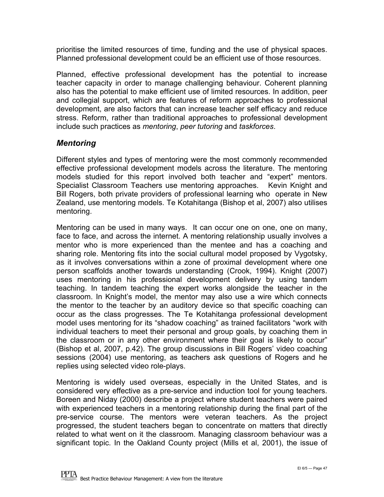prioritise the limited resources of time, funding and the use of physical spaces. Planned professional development could be an efficient use of those resources.

Planned, effective professional development has the potential to increase teacher capacity in order to manage challenging behaviour. Coherent planning also has the potential to make efficient use of limited resources. In addition, peer and collegial support, which are features of reform approaches to professional development, are also factors that can increase teacher self efficacy and reduce stress. Reform, rather than traditional approaches to professional development include such practices as *mentoring*, *peer tutoring* and *taskforces*.

#### *Mentoring*

Different styles and types of mentoring were the most commonly recommended effective professional development models across the literature. The mentoring models studied for this report involved both teacher and "expert" mentors. Specialist Classroom Teachers use mentoring approaches. Kevin Knight and Bill Rogers, both private providers of professional learning who operate in New Zealand, use mentoring models. Te Kotahitanga (Bishop et al, 2007) also utilises mentoring.

Mentoring can be used in many ways. It can occur one on one, one on many, face to face, and across the internet. A mentoring relationship usually involves a mentor who is more experienced than the mentee and has a coaching and sharing role. Mentoring fits into the social cultural model proposed by Vygotsky, as it involves conversations within a zone of proximal development where one person scaffolds another towards understanding (Crook, 1994). Knight (2007) uses mentoring in his professional development delivery by using tandem teaching. In tandem teaching the expert works alongside the teacher in the classroom. In Knight's model, the mentor may also use a wire which connects the mentor to the teacher by an auditory device so that specific coaching can occur as the class progresses. The Te Kotahitanga professional development model uses mentoring for its "shadow coaching" as trained facilitators "work with individual teachers to meet their personal and group goals, by coaching them in the classroom or in any other environment where their goal is likely to occur" (Bishop et al, 2007, p.42). The group discussions in Bill Rogers' video coaching sessions (2004) use mentoring, as teachers ask questions of Rogers and he replies using selected video role-plays.

Mentoring is widely used overseas, especially in the United States, and is considered very effective as a pre-service and induction tool for young teachers. Boreen and Niday (2000) describe a project where student teachers were paired with experienced teachers in a mentoring relationship during the final part of the pre-service course. The mentors were veteran teachers. As the project progressed, the student teachers began to concentrate on matters that directly related to what went on it the classroom. Managing classroom behaviour was a significant topic. In the Oakland County project (Mills et al, 2001), the issue of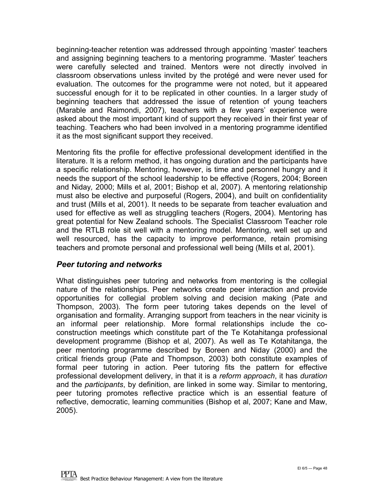beginning-teacher retention was addressed through appointing 'master' teachers and assigning beginning teachers to a mentoring programme. 'Master' teachers were carefully selected and trained. Mentors were not directly involved in classroom observations unless invited by the protégé and were never used for evaluation. The outcomes for the programme were not noted, but it appeared successful enough for it to be replicated in other counties. In a larger study of beginning teachers that addressed the issue of retention of young teachers (Marable and Raimondi, 2007), teachers with a few years' experience were asked about the most important kind of support they received in their first year of teaching. Teachers who had been involved in a mentoring programme identified it as the most significant support they received.

Mentoring fits the profile for effective professional development identified in the literature. It is a reform method, it has ongoing duration and the participants have a specific relationship. Mentoring, however, is time and personnel hungry and it needs the support of the school leadership to be effective (Rogers, 2004; Boreen and Niday*,* 2000; Mills et al, 2001; Bishop et al, 2007). A mentoring relationship must also be elective and purposeful (Rogers, 2004), and built on confidentiality and trust (Mills et al, 2001). It needs to be separate from teacher evaluation and used for effective as well as struggling teachers (Rogers, 2004). Mentoring has great potential for New Zealand schools. The Specialist Classroom Teacher role and the RTLB role sit well with a mentoring model. Mentoring, well set up and well resourced, has the capacity to improve performance, retain promising teachers and promote personal and professional well being (Mills et al, 2001).

#### *Peer tutoring and networks*

What distinguishes peer tutoring and networks from mentoring is the collegial nature of the relationships. Peer networks create peer interaction and provide opportunities for collegial problem solving and decision making (Pate and Thompson, 2003). The form peer tutoring takes depends on the level of organisation and formality. Arranging support from teachers in the near vicinity is an informal peer relationship. More formal relationships include the coconstruction meetings which constitute part of the Te Kotahitanga professional development programme (Bishop et al, 2007). As well as Te Kotahitanga, the peer mentoring programme described by Boreen and Niday (2000) and the critical friends group (Pate and Thompson, 2003) both constitute examples of formal peer tutoring in action. Peer tutoring fits the pattern for effective professional development delivery, in that it is a *reform approach*, it has *duration* and the *participants*, by definition, are linked in some way. Similar to mentoring, peer tutoring promotes reflective practice which is an essential feature of reflective, democratic, learning communities (Bishop et al, 2007; Kane and Maw, 2005).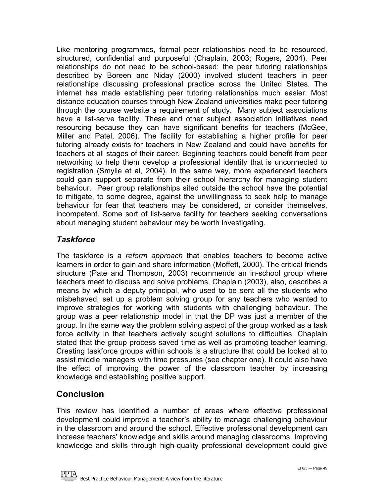Like mentoring programmes, formal peer relationships need to be resourced, structured, confidential and purposeful (Chaplain, 2003; Rogers, 2004). Peer relationships do not need to be school-based; the peer tutoring relationships described by Boreen and Niday (2000) involved student teachers in peer relationships discussing professional practice across the United States. The internet has made establishing peer tutoring relationships much easier. Most distance education courses through New Zealand universities make peer tutoring through the course website a requirement of study. Many subject associations have a list-serve facility. These and other subject association initiatives need resourcing because they can have significant benefits for teachers (McGee, Miller and Patel, 2006). The facility for establishing a higher profile for peer tutoring already exists for teachers in New Zealand and could have benefits for teachers at all stages of their career. Beginning teachers could benefit from peer networking to help them develop a professional identity that is unconnected to registration (Smylie et al, 2004). In the same way, more experienced teachers could gain support separate from their school hierarchy for managing student behaviour. Peer group relationships sited outside the school have the potential to mitigate, to some degree, against the unwillingness to seek help to manage behaviour for fear that teachers may be considered, or consider themselves, incompetent. Some sort of list-serve facility for teachers seeking conversations about managing student behaviour may be worth investigating.

#### *Taskforce*

The taskforce is a *reform approach* that enables teachers to become active learners in order to gain and share information (Moffett, 2000). The critical friends structure (Pate and Thompson, 2003) recommends an in-school group where teachers meet to discuss and solve problems. Chaplain (2003), also, describes a means by which a deputy principal, who used to be sent all the students who misbehaved, set up a problem solving group for any teachers who wanted to improve strategies for working with students with challenging behaviour. The group was a peer relationship model in that the DP was just a member of the group. In the same way the problem solving aspect of the group worked as a task force activity in that teachers actively sought solutions to difficulties. Chaplain stated that the group process saved time as well as promoting teacher learning. Creating taskforce groups within schools is a structure that could be looked at to assist middle managers with time pressures (see chapter one). It could also have the effect of improving the power of the classroom teacher by increasing knowledge and establishing positive support.

#### **Conclusion**

This review has identified a number of areas where effective professional development could improve a teacher's ability to manage challenging behaviour in the classroom and around the school. Effective professional development can increase teachers' knowledge and skills around managing classrooms. Improving knowledge and skills through high-quality professional development could give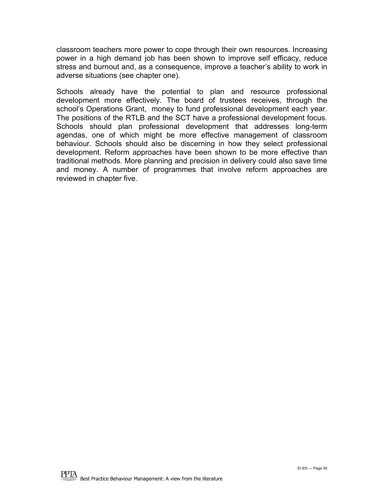classroom teachers more power to cope through their own resources. Increasing power in a high demand job has been shown to improve self efficacy, reduce stress and burnout and, as a consequence, improve a teacher's ability to work in adverse situations (see chapter one).

Schools already have the potential to plan and resource professional development more effectively. The board of trustees receives, through the school's Operations Grant, money to fund professional development each year. The positions of the RTLB and the SCT have a professional development focus. Schools should plan professional development that addresses long-term agendas, one of which might be more effective management of classroom behaviour. Schools should also be discerning in how they select professional development. Reform approaches have been shown to be more effective than traditional methods. More planning and precision in delivery could also save time and money. A number of programmes that involve reform approaches are reviewed in chapter five.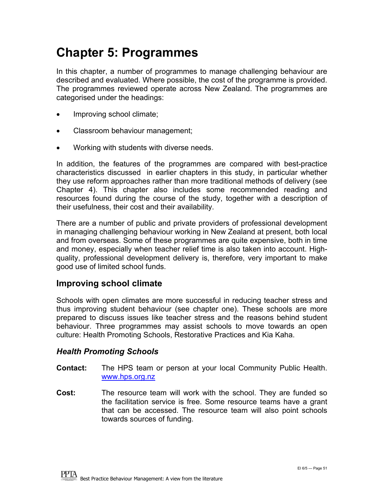### <span id="page-50-0"></span>**Chapter 5: Programmes**

In this chapter, a number of programmes to manage challenging behaviour are described and evaluated. Where possible, the cost of the programme is provided. The programmes reviewed operate across New Zealand. The programmes are categorised under the headings:

- Improving school climate;
- Classroom behaviour management;
- Working with students with diverse needs.

In addition, the features of the programmes are compared with best-practice characteristics discussed in earlier chapters in this study, in particular whether they use reform approaches rather than more traditional methods of delivery (see Chapter 4). This chapter also includes some recommended reading and resources found during the course of the study, together with a description of their usefulness, their cost and their availability.

There are a number of public and private providers of professional development in managing challenging behaviour working in New Zealand at present, both local and from overseas. Some of these programmes are quite expensive, both in time and money, especially when teacher relief time is also taken into account. Highquality, professional development delivery is, therefore, very important to make good use of limited school funds.

#### **Improving school climate**

Schools with open climates are more successful in reducing teacher stress and thus improving student behaviour (see chapter one). These schools are more prepared to discuss issues like teacher stress and the reasons behind student behaviour. Three programmes may assist schools to move towards an open culture: Health Promoting Schools, Restorative Practices and Kia Kaha.

#### *Health Promoting Schools*

- **Contact:** The HPS team or person at your local Community Public Health. [www.hps.org.nz](http://www.hps.org.nz/)
- **Cost:** The resource team will work with the school. They are funded so the facilitation service is free. Some resource teams have a grant that can be accessed. The resource team will also point schools towards sources of funding.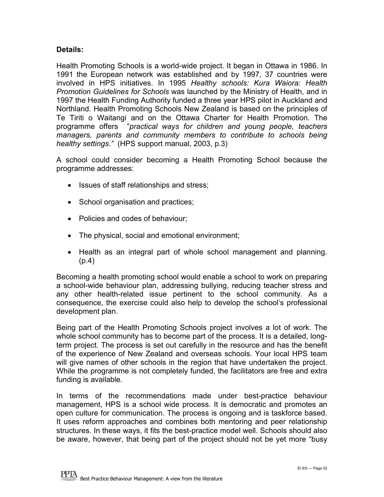#### **Details:**

Health Promoting Schools is a world-wide project. It began in Ottawa in 1986. In 1991 the European network was established and by 1997, 37 countries were involved in HPS initiatives. In 1995 *Healthy schools: Kura Waiora: Health Promotion Guidelines for Schools* was launched by the Ministry of Health, and in 1997 the Health Funding Authority funded a three year HPS pilot in Auckland and Northland. Health Promoting Schools New Zealand is based on the principles of Te Tiriti o Waitangi and on the Ottawa Charter for Health Promotion. The programme offers "*practical ways for children and young people, teachers managers, parents and community members to contribute to schools being healthy settings."* (HPS support manual, 2003, p.3)

A school could consider becoming a Health Promoting School because the programme addresses:

- Issues of staff relationships and stress;
- School organisation and practices;
- Policies and codes of behaviour:
- The physical, social and emotional environment;
- Health as an integral part of whole school management and planning. (p.4)

Becoming a health promoting school would enable a school to work on preparing a school-wide behaviour plan, addressing bullying, reducing teacher stress and any other health-related issue pertinent to the school community. As a consequence, the exercise could also help to develop the school's professional development plan.

Being part of the Health Promoting Schools project involves a lot of work. The whole school community has to become part of the process. It is a detailed, longterm project. The process is set out carefully in the resource and has the benefit of the experience of New Zealand and overseas schools. Your local HPS team will give names of other schools in the region that have undertaken the project. While the programme is not completely funded, the facilitators are free and extra funding is available.

In terms of the recommendations made under best-practice behaviour management, HPS is a school wide process. It is democratic and promotes an open culture for communication. The process is ongoing and is taskforce based. It uses reform approaches and combines both mentoring and peer relationship structures. In these ways, it fits the best-practice model well. Schools should also be aware, however, that being part of the project should not be yet more "busy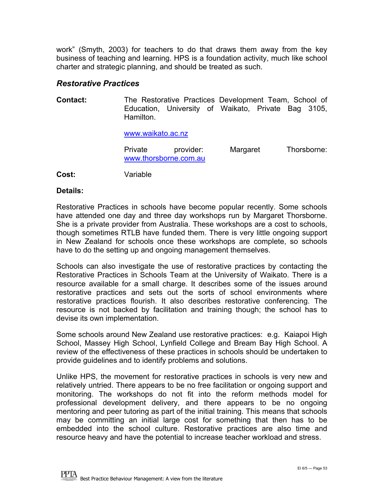work" (Smyth, 2003) for teachers to do that draws them away from the key business of teaching and learning. HPS is a foundation activity, much like school charter and strategic planning, and should be treated as such.

#### *Restorative Practices*

**Contact:** The Restorative Practices Development Team, School of Education, University of Waikato, Private Bag 3105, Hamilton.

[www.waikato.ac.nz](http://www.waikato.ac.nz/)

| Private               | provider: | Margaret | Thorsborne: |
|-----------------------|-----------|----------|-------------|
| www.thorsborne.com.au |           |          |             |

**Cost:** Variable

#### **Details:**

Restorative Practices in schools have become popular recently. Some schools have attended one day and three day workshops run by Margaret Thorsborne. She is a private provider from Australia. These workshops are a cost to schools, though sometimes RTLB have funded them. There is very little ongoing support in New Zealand for schools once these workshops are complete, so schools have to do the setting up and ongoing management themselves.

Schools can also investigate the use of restorative practices by contacting the Restorative Practices in Schools Team at the University of Waikato. There is a resource available for a small charge. It describes some of the issues around restorative practices and sets out the sorts of school environments where restorative practices flourish. It also describes restorative conferencing. The resource is not backed by facilitation and training though; the school has to devise its own implementation.

Some schools around New Zealand use restorative practices: e.g. Kaiapoi High School, Massey High School, Lynfield College and Bream Bay High School. A review of the effectiveness of these practices in schools should be undertaken to provide guidelines and to identify problems and solutions.

Unlike HPS, the movement for restorative practices in schools is very new and relatively untried. There appears to be no free facilitation or ongoing support and monitoring. The workshops do not fit into the reform methods model for professional development delivery, and there appears to be no ongoing mentoring and peer tutoring as part of the initial training. This means that schools may be committing an initial large cost for something that then has to be embedded into the school culture. Restorative practices are also time and resource heavy and have the potential to increase teacher workload and stress.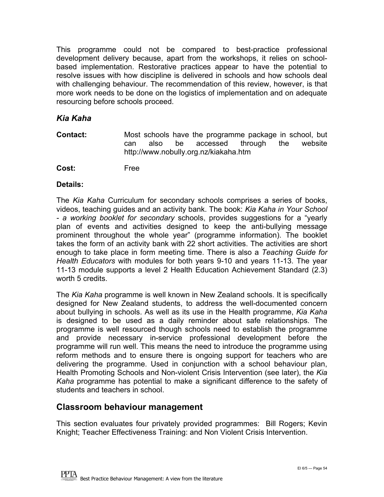<span id="page-53-0"></span>This programme could not be compared to best-practice professional development delivery because, apart from the workshops, it relies on schoolbased implementation. Restorative practices appear to have the potential to resolve issues with how discipline is delivered in schools and how schools deal with challenging behaviour. The recommendation of this review, however, is that more work needs to be done on the logistics of implementation and on adequate resourcing before schools proceed.

#### *Kia Kaha*

- **Contact:** Most schools have the programme package in school, but can also be accessed through the website http://www.nobully.org.nz/kiakaha.htm
- **Cost:** Free

#### **Details:**

The *Kia Kaha* Curriculum for secondary schools comprises a series of books, videos, teaching guides and an activity bank. The book: *Kia Kaha in Your School - a working booklet for secondary* schools, provides suggestions for a "yearly plan of events and activities designed to keep the anti-bullying message prominent throughout the whole year" (programme information). The booklet takes the form of an activity bank with 22 short activities. The activities are short enough to take place in form meeting time. There is also a *Teaching Guide for Health Educators* with modules for both years 9-10 and years 11-13. The year 11-13 module supports a level 2 Health Education Achievement Standard (2.3) worth 5 credits.

The *Kia Kaha* programme is well known in New Zealand schools. It is specifically designed for New Zealand students, to address the well-documented concern about bullying in schools. As well as its use in the Health programme, *Kia Kaha*  is designed to be used as a daily reminder about safe relationships. The programme is well resourced though schools need to establish the programme and provide necessary in-service professional development before the programme will run well. This means the need to introduce the programme using reform methods and to ensure there is ongoing support for teachers who are delivering the programme. Used in conjunction with a school behaviour plan, Health Promoting Schools and Non-violent Crisis Intervention (see later), the *Kia Kaha* programme has potential to make a significant difference to the safety of students and teachers in school.

#### **Classroom behaviour management**

This section evaluates four privately provided programmes: Bill Rogers; Kevin Knight; Teacher Effectiveness Training: and Non Violent Crisis Intervention.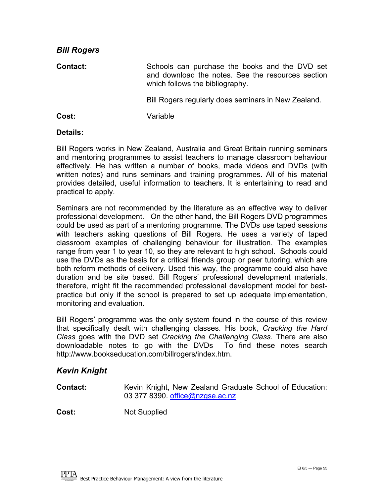| <b>PIII INDACIS</b> |                                                                                                                                        |
|---------------------|----------------------------------------------------------------------------------------------------------------------------------------|
| <b>Contact:</b>     | Schools can purchase the books and the DVD set<br>and download the notes. See the resources section<br>which follows the bibliography. |
|                     | Bill Rogers regularly does seminars in New Zealand.                                                                                    |
| Cost:               | Variable                                                                                                                               |

#### **Details:**

*Bill Rogers* 

Bill Rogers works in New Zealand, Australia and Great Britain running seminars and mentoring programmes to assist teachers to manage classroom behaviour effectively. He has written a number of books, made videos and DVDs (with written notes) and runs seminars and training programmes. All of his material provides detailed, useful information to teachers. It is entertaining to read and practical to apply.

Seminars are not recommended by the literature as an effective way to deliver professional development. On the other hand, the Bill Rogers DVD programmes could be used as part of a mentoring programme. The DVDs use taped sessions with teachers asking questions of Bill Rogers. He uses a variety of taped classroom examples of challenging behaviour for illustration. The examples range from year 1 to year 10, so they are relevant to high school. Schools could use the DVDs as the basis for a critical friends group or peer tutoring, which are both reform methods of delivery. Used this way, the programme could also have duration and be site based. Bill Rogers' professional development materials, therefore, might fit the recommended professional development model for bestpractice but only if the school is prepared to set up adequate implementation, monitoring and evaluation.

Bill Rogers' programme was the only system found in the course of this review that specifically dealt with challenging classes. His book, *Cracking the Hard Class* goes with the DVD set *Cracking the Challenging Class*. There are also downloadable notes to go with the DVDs To find these notes search http://www.bookseducation.com/billrogers/index.htm.

#### *Kevin Knight*

**Contact:** Kevin Knight, New Zealand Graduate School of Education: 03 377 8390. [office@nzgse.ac.nz](mailto:office@nzgse.ac.nz)

**Cost:** Not Supplied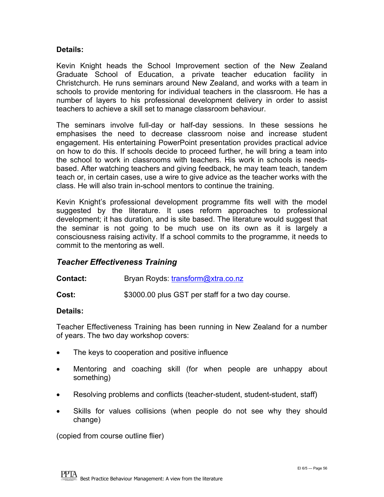#### **Details:**

Kevin Knight heads the School Improvement section of the New Zealand Graduate School of Education, a private teacher education facility in Christchurch. He runs seminars around New Zealand, and works with a team in schools to provide mentoring for individual teachers in the classroom. He has a number of layers to his professional development delivery in order to assist teachers to achieve a skill set to manage classroom behaviour.

The seminars involve full-day or half-day sessions. In these sessions he emphasises the need to decrease classroom noise and increase student engagement. His entertaining PowerPoint presentation provides practical advice on how to do this. If schools decide to proceed further, he will bring a team into the school to work in classrooms with teachers. His work in schools is needsbased. After watching teachers and giving feedback, he may team teach, tandem teach or, in certain cases, use a wire to give advice as the teacher works with the class. He will also train in-school mentors to continue the training.

Kevin Knight's professional development programme fits well with the model suggested by the literature. It uses reform approaches to professional development; it has duration*,* and is site based. The literature would suggest that the seminar is not going to be much use on its own as it is largely a consciousness raising activity. If a school commits to the programme, it needs to commit to the mentoring as well.

#### *Teacher Effectiveness Training*

#### **Contact:** Bryan Royds: [transform@xtra.co.nz](mailto:transform@xtra.co.nz)

**Cost:**  $$3000.00$  plus GST per staff for a two day course.

#### **Details:**

Teacher Effectiveness Training has been running in New Zealand for a number of years. The two day workshop covers:

- The keys to cooperation and positive influence
- Mentoring and coaching skill (for when people are unhappy about something)
- Resolving problems and conflicts (teacher-student, student-student, staff)
- Skills for values collisions (when people do not see why they should change)

(copied from course outline flier)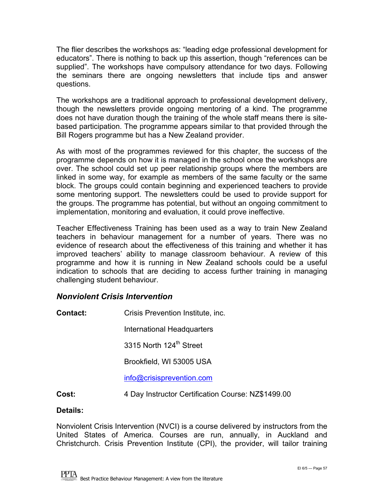The flier describes the workshops as: "leading edge professional development for educators". There is nothing to back up this assertion, though "references can be supplied". The workshops have compulsory attendance for two days. Following the seminars there are ongoing newsletters that include tips and answer questions.

The workshops are a traditional approach to professional development delivery, though the newsletters provide ongoing mentoring of a kind. The programme does not have duration though the training of the whole staff means there is sitebased participation. The programme appears similar to that provided through the Bill Rogers programme but has a New Zealand provider.

As with most of the programmes reviewed for this chapter, the success of the programme depends on how it is managed in the school once the workshops are over. The school could set up peer relationship groups where the members are linked in some way, for example as members of the same faculty or the same block. The groups could contain beginning and experienced teachers to provide some mentoring support. The newsletters could be used to provide support for the groups. The programme has potential, but without an ongoing commitment to implementation, monitoring and evaluation, it could prove ineffective.

Teacher Effectiveness Training has been used as a way to train New Zealand teachers in behaviour management for a number of years. There was no evidence of research about the effectiveness of this training and whether it has improved teachers' ability to manage classroom behaviour. A review of this programme and how it is running in New Zealand schools could be a useful indication to schools that are deciding to access further training in managing challenging student behaviour.

#### *Nonviolent Crisis Intervention*

| Contact: | Crisis Prevention Institute, inc. |  |
|----------|-----------------------------------|--|
|----------|-----------------------------------|--|

International Headquarters

3315 North 124<sup>th</sup> Street

Brookfield, WI 53005 USA

[info@crisisprevention.com](mailto:info@crisisprevention.com) 

**Cost:** 4 Day Instructor Certification Course: NZ\$1499.00

#### **Details:**

Nonviolent Crisis Intervention (NVCI) is a course delivered by instructors from the United States of America. Courses are run, annually, in Auckland and Christchurch. Crisis Prevention Institute (CPI), the provider, will tailor training

**PPTA** Best Practice Behaviour Management: A view from the literature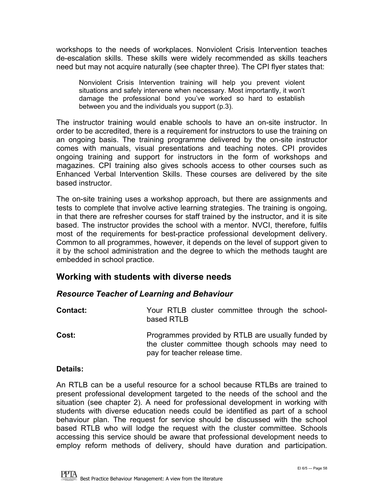<span id="page-57-0"></span>workshops to the needs of workplaces. Nonviolent Crisis Intervention teaches de-escalation skills. These skills were widely recommended as skills teachers need but may not acquire naturally (see chapter three). The CPI flyer states that:

Nonviolent Crisis Intervention training will help you prevent violent situations and safely intervene when necessary. Most importantly, it won't damage the professional bond you've worked so hard to establish between you and the individuals you support (p.3).

The instructor training would enable schools to have an on-site instructor. In order to be accredited, there is a requirement for instructors to use the training on an ongoing basis. The training programme delivered by the on-site instructor comes with manuals, visual presentations and teaching notes. CPI provides ongoing training and support for instructors in the form of workshops and magazines. CPI training also gives schools access to other courses such as Enhanced Verbal Intervention Skills. These courses are delivered by the site based instructor.

The on-site training uses a workshop approach, but there are assignments and tests to complete that involve active learning strategies. The training is ongoing*,* in that there are refresher courses for staff trained by the instructor, and it is site based. The instructor provides the school with a mentor. NVCI, therefore, fulfils most of the requirements for best-practice professional development delivery. Common to all programmes, however, it depends on the level of support given to it by the school administration and the degree to which the methods taught are embedded in school practice.

#### **Working with students with diverse needs**

#### *Resource Teacher of Learning and Behaviour*

| <b>Contact:</b> | Your RTLB cluster committee through the school-<br>based RTLB                                                                          |
|-----------------|----------------------------------------------------------------------------------------------------------------------------------------|
| Cost:           | Programmes provided by RTLB are usually funded by<br>the cluster committee though schools may need to<br>pay for teacher release time. |

#### **Details:**

An RTLB can be a useful resource for a school because RTLBs are trained to present professional development targeted to the needs of the school and the situation (see chapter 2). A need for professional development in working with students with diverse education needs could be identified as part of a school behaviour plan. The request for service should be discussed with the school based RTLB who will lodge the request with the cluster committee. Schools accessing this service should be aware that professional development needs to employ reform methods of delivery, should have duration and participation*.*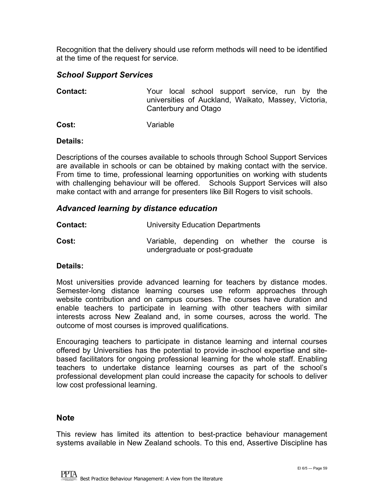Recognition that the delivery should use reform methods will need to be identified at the time of the request for service.

#### *School Support Services*

**Contact:** Your local school support service, run by the universities of Auckland, Waikato, Massey, Victoria, Canterbury and Otago

**Cost:** Variable

#### **Details:**

Descriptions of the courses available to schools through School Support Services are available in schools or can be obtained by making contact with the service. From time to time, professional learning opportunities on working with students with challenging behaviour will be offered. Schools Support Services will also make contact with and arrange for presenters like Bill Rogers to visit schools.

#### *Advanced learning by distance education*

| <b>Contact:</b> | University Education Departments |
|-----------------|----------------------------------|
|-----------------|----------------------------------|

**Cost:** Variable, depending on whether the course is undergraduate or post-graduate

#### **Details:**

Most universities provide advanced learning for teachers by distance modes. Semester-long distance learning courses use reform approaches through website contribution and on campus courses. The courses have duration and enable teachers to participate in learning with other teachers with similar interests across New Zealand and, in some courses, across the world. The outcome of most courses is improved qualifications.

Encouraging teachers to participate in distance learning and internal courses offered by Universities has the potential to provide in-school expertise and sitebased facilitators for ongoing professional learning for the whole staff. Enabling teachers to undertake distance learning courses as part of the school's professional development plan could increase the capacity for schools to deliver low cost professional learning.

#### **Note**

This review has limited its attention to best-practice behaviour management systems available in New Zealand schools. To this end, Assertive Discipline has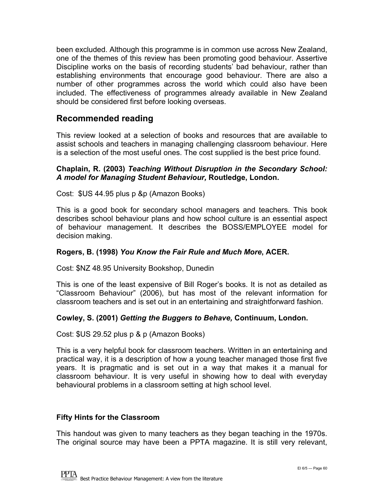<span id="page-59-0"></span>been excluded. Although this programme is in common use across New Zealand, one of the themes of this review has been promoting good behaviour. Assertive Discipline works on the basis of recording students' bad behaviour, rather than establishing environments that encourage good behaviour. There are also a number of other programmes across the world which could also have been included. The effectiveness of programmes already available in New Zealand should be considered first before looking overseas.

#### **Recommended reading**

This review looked at a selection of books and resources that are available to assist schools and teachers in managing challenging classroom behaviour. Here is a selection of the most useful ones. The cost supplied is the best price found.

#### **Chaplain, R. (2003)** *Teaching Without Disruption in the Secondary School: A model for Managing Student Behaviour,* **Routledge, London.**

Cost: \$US 44.95 plus p &p (Amazon Books)

This is a good book for secondary school managers and teachers. This book describes school behaviour plans and how school culture is an essential aspect of behaviour management. It describes the BOSS/EMPLOYEE model for decision making.

#### **Rogers, B. (1998)** *You Know the Fair Rule and Much More***, ACER.**

Cost: \$NZ 48.95 University Bookshop, Dunedin

This is one of the least expensive of Bill Roger's books. It is not as detailed as "Classroom Behaviour" (2006), but has most of the relevant information for classroom teachers and is set out in an entertaining and straightforward fashion.

#### **Cowley, S. (2001)** *Getting the Buggers to Behave,* **Continuum, London.**

Cost: \$US 29.52 plus p & p (Amazon Books)

This is a very helpful book for classroom teachers. Written in an entertaining and practical way, it is a description of how a young teacher managed those first five years. It is pragmatic and is set out in a way that makes it a manual for classroom behaviour. It is very useful in showing how to deal with everyday behavioural problems in a classroom setting at high school level.

#### **Fifty Hints for the Classroom**

This handout was given to many teachers as they began teaching in the 1970s. The original source may have been a PPTA magazine. It is still very relevant,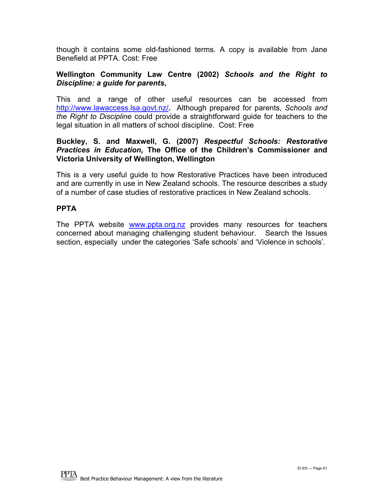though it contains some old-fashioned terms. A copy is available from Jane Benefield at PPTA. Cost: Free

#### **Wellington Community Law Centre (2002)** *Schools and the Right to Discipline: a guide for parents***,**

This and a range of other useful resources can be accessed from <http://www.lawaccess.lsa.govt.nz/>**.** Although prepared for parents, *Schools and the Right to Discipline* could provide a straightforward guide for teachers to the legal situation in all matters of school discipline. Cost: Free

#### **Buckley, S. and Maxwell, G. (2007)** *Respectful Schools: Restorative Practices in Education,* **The Office of the Children's Commissioner and Victoria University of Wellington, Wellington**

This is a very useful guide to how Restorative Practices have been introduced and are currently in use in New Zealand schools. The resource describes a study of a number of case studies of restorative practices in New Zealand schools.

#### **PPTA**

The PPTA website [www.ppta.org.nz](http://www.ppta.org.nz/) provides many resources for teachers concerned about managing challenging student behaviour. Search the Issues section, especially under the categories 'Safe schools' and 'Violence in schools'.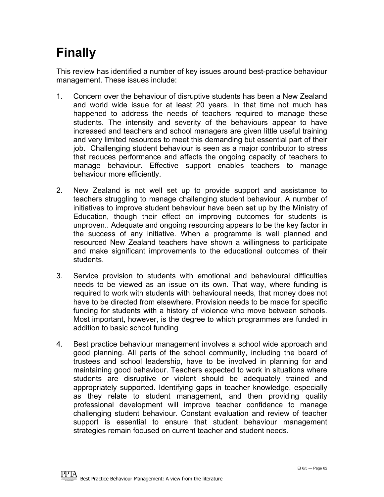### <span id="page-61-0"></span>**Finally**

This review has identified a number of key issues around best-practice behaviour management. These issues include:

- 1. Concern over the behaviour of disruptive students has been a New Zealand and world wide issue for at least 20 years. In that time not much has happened to address the needs of teachers required to manage these students. The intensity and severity of the behaviours appear to have increased and teachers and school managers are given little useful training and very limited resources to meet this demanding but essential part of their job. Challenging student behaviour is seen as a major contributor to stress that reduces performance and affects the ongoing capacity of teachers to manage behaviour. Effective support enables teachers to manage behaviour more efficiently.
- 2. New Zealand is not well set up to provide support and assistance to teachers struggling to manage challenging student behaviour. A number of initiatives to improve student behaviour have been set up by the Ministry of Education, though their effect on improving outcomes for students is unproven.. Adequate and ongoing resourcing appears to be the key factor in the success of any initiative. When a programme is well planned and resourced New Zealand teachers have shown a willingness to participate and make significant improvements to the educational outcomes of their students.
- 3. Service provision to students with emotional and behavioural difficulties needs to be viewed as an issue on its own. That way, where funding is required to work with students with behavioural needs, that money does not have to be directed from elsewhere. Provision needs to be made for specific funding for students with a history of violence who move between schools. Most important, however, is the degree to which programmes are funded in addition to basic school funding
- 4. Best practice behaviour management involves a school wide approach and good planning. All parts of the school community, including the board of trustees and school leadership, have to be involved in planning for and maintaining good behaviour. Teachers expected to work in situations where students are disruptive or violent should be adequately trained and appropriately supported. Identifying gaps in teacher knowledge, especially as they relate to student management, and then providing quality professional development will improve teacher confidence to manage challenging student behaviour. Constant evaluation and review of teacher support is essential to ensure that student behaviour management strategies remain focused on current teacher and student needs.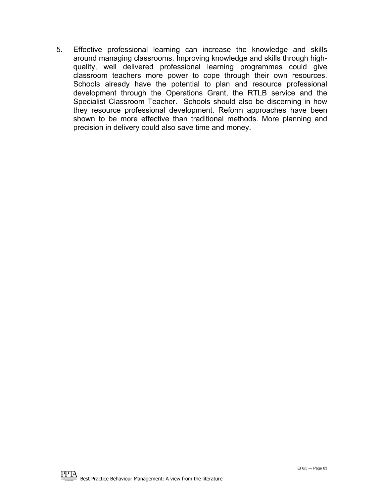5. Effective professional learning can increase the knowledge and skills around managing classrooms. Improving knowledge and skills through highquality, well delivered professional learning programmes could give classroom teachers more power to cope through their own resources. Schools already have the potential to plan and resource professional development through the Operations Grant, the RTLB service and the Specialist Classroom Teacher. Schools should also be discerning in how they resource professional development. Reform approaches have been shown to be more effective than traditional methods. More planning and precision in delivery could also save time and money.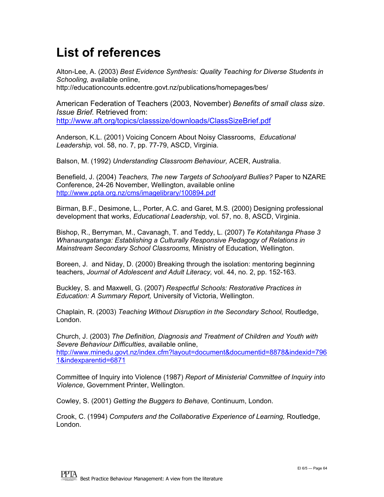### **List of references**

Alton-Lee, A. (2003) *Best Evidence Synthesis: Quality Teaching for Diverse Students in Schooling,* available online, http://educationcounts.edcentre.govt.nz/publications/homepages/bes/

American Federation of Teachers (2003, November) *Benefits of small class size*. *Issue Brief.* Retrieved from: <http://www.aft.org/topics/classsize/downloads/ClassSizeBrief.pdf>

Anderson, K.L. (2001) Voicing Concern About Noisy Classrooms, *Educational Leadership,* vol. 58, no. 7, pp. 77-79, ASCD, Virginia.

Balson, M. (1992) *Understanding Classroom Behaviour,* ACER, Australia.

Benefield, J. (2004) *Teachers, The new Targets of Schoolyard Bullies?* Paper to NZARE Conference, 24-26 November, Wellington, available online <http://www.ppta.org.nz/cms/imagelibrary/100894.pdf>

Birman, B.F., Desimone, L., Porter, A.C. and Garet, M.S. (2000) Designing professional development that works, *Educational Leadership,* vol. 57, no. 8, ASCD, Virginia.

Bishop, R., Berryman, M., Cavanagh, T. and Teddy, L. (2007) *Te Kotahitanga Phase 3 Whanaungatanga: Establishing a Culturally Responsive Pedagogy of Relations in Mainstream Secondary School Classrooms,* Ministry of Education, Wellington.

Boreen, J. and Niday, D. (2000) Breaking through the isolation: mentoring beginning teachers, *Journal of Adolescent and Adult Literacy,* vol. 44, no. 2, pp. 152-163.

Buckley, S. and Maxwell, G. (2007) *Respectful Schools: Restorative Practices in Education: A Summary Report,* University of Victoria, Wellington.

Chaplain, R. (2003) *Teaching Without Disruption in the Secondary School,* Routledge, London.

Church, J. (2003) *The Definition, Diagnosis and Treatment of Children and Youth with Severe Behaviour Difficulties*, available online, [http://www.minedu.govt.nz/index.cfm?layout=document&documentid=8878&indexid=796](http://www.minedu.govt.nz/index.cfm?layout=document&documentid=8878&indexid=7961&indexparentid=6871)

[1&indexparentid=6871](http://www.minedu.govt.nz/index.cfm?layout=document&documentid=8878&indexid=7961&indexparentid=6871)

Committee of Inquiry into Violence (1987) *Report of Ministerial Committee of Inquiry into Violence*, Government Printer, Wellington.

Cowley, S. (2001) *Getting the Buggers to Behave,* Continuum, London.

Crook, C. (1994) *Computers and the Collaborative Experience of Learning,* Routledge, London.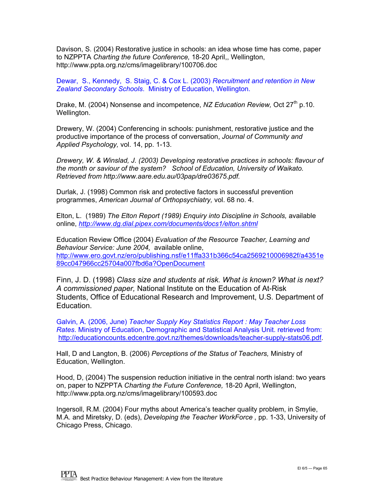Davison, S. (2004) Restorative justice in schools: an idea whose time has come, paper to NZPPTA *Charting the future Conference,* 18-20 April,, Wellington, http://www.ppta.org.nz/cms/imagelibrary/100706.doc

Dewar, S., Kennedy, S. Staig, C. & Cox L. (2003) *Recruitment and retention in New Zealand Secondary Schools*. Ministry of Education, Wellington.

Drake, M. (2004) Nonsense and incompetence, *NZ Education Review,* Oct 27th p.10. Wellington.

Drewery, W. (2004) Conferencing in schools: punishment, restorative justice and the productive importance of the process of conversation, *Journal of Community and Applied Psychology,* vol. 14, pp. 1-13.

*Drewery, W. & Winslad, J. (2003) Developing restorative practices in schools: flavour of the month or saviour of the system? School of Education, University of Waikato. Retrieved from http://www.aare.edu.au/03pap/dre03675.pdf.* 

Durlak, J. (1998) Common risk and protective factors in successful prevention programmes, *American Journal of Orthopsychiatry,* vol. 68 no. 4.

Elton, L. (1989) *The Elton Report (1989) Enquiry into Discipline in Schools,* available online, *<http://www.dg.dial.pipex.com/documents/docs1/elton.shtml>* 

Education Review Office (2004) *Evaluation of the Resource Teacher, Learning and Behaviour Service: June 2004,* available online, [http://www.ero.govt.nz/ero/publishing.nsf/e11ffa331b366c54ca2569210006982f/a4351e](http://www.ero.govt.nz/ero/publishing.nsf/e11ffa331b366c54ca2569210006982f/a4351e89cc047966cc25704a007fbd6a?OpenDocument) [89cc047966cc25704a007fbd6a?OpenDocument](http://www.ero.govt.nz/ero/publishing.nsf/e11ffa331b366c54ca2569210006982f/a4351e89cc047966cc25704a007fbd6a?OpenDocument)

Finn, J. D. (1998) *Class size and students at risk. What is known? What is next? A commissioned paper,* National Institute on the Education of At-Risk Students, Office of Educational Research and Improvement, U.S. Department of Education.

Galvin, A. (2006, June) *Teacher Supply Key Statistics Report : May Teacher Loss Rates*. Ministry of Education, Demographic and Statistical Analysis Unit. retrieved from: <http://educationcounts.edcentre.govt.nz/themes/downloads/teacher-supply-stats06.pdf>.

Hall, D and Langton, B. (2006) *Perceptions of the Status of Teachers,* Ministry of Education, Wellington.

Hood, D, (2004) The suspension reduction initiative in the central north island: two years on, paper to NZPPTA *Charting the Future Conference,* 18-20 April, Wellington, http://www.ppta.org.nz/cms/imagelibrary/100593.doc

Ingersoll, R.M. (2004) Four myths about America's teacher quality problem, in Smylie, M.A. and Miretsky, D. (eds), *Developing the Teacher WorkForce ,* pp. 1-33, University of Chicago Press, Chicago.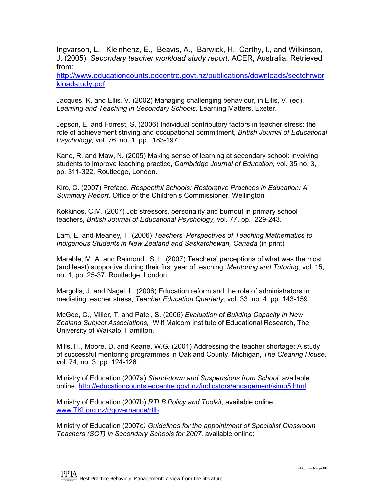Ingvarson, L., Kleinhenz, E., Beavis, A., Barwick, H., Carthy, I., and Wilkinson, J. (2005) *Secondary teacher workload study report*. ACER, Australia. Retrieved from:

[http://www.educationcounts.edcentre.govt.nz/publications/downloads/sectchrwor](http://www.educationcounts.edcentre.govt.nz/publications/downloads/sectchrworkloadstudy.pdf) [kloadstudy.pdf](http://www.educationcounts.edcentre.govt.nz/publications/downloads/sectchrworkloadstudy.pdf)

Jacques, K. and Ellis, V. (2002) Managing challenging behaviour, in Ellis, V. (ed), *Learning and Teaching in Secondary Schools,* Learning Matters, Exeter.

Jepson, E. and Forrest, S. (2006) Individual contributory factors in teacher stress: the role of achievement striving and occupational commitment, *British Journal of Educational Psychology,* vol. 76, no. 1, pp. 183-197.

Kane, R. and Maw, N. (2005) Making sense of learning at secondary school: involving students to improve teaching practice, *Cambridge Journal of Education,* vol. 35 no. 3, pp. 311-322, Routledge, London.

Kiro, C. (2007) Preface, *Respectful Schools: Restorative Practices in Education: A Summary Report,* Office of the Children's Commissioner, Wellington.

Kokkinos, C.M. (2007) Job stressors, personality and burnout in primary school teachers, *British Journal of Educational Psychology,* vol. 77, pp. 229-243.

Lam, E. and Meaney, T. (2006) *Teachers' Perspectives of Teaching Mathematics to Indigenous Students in New Zealand and Saskatchewan, Canada* (in print)

Marable, M. A. and Raimondi, S. L. (2007) Teachers' perceptions of what was the most (and least) supportive during their first year of teaching, *Mentoring and Tutoring,* vol. 15, no. 1, pp. 25-37, Routledge, London.

Margolis, J. and Nagel, L. (2006) Education reform and the role of administrators in mediating teacher stress, *Teacher Education Quarterly,* vol. 33, no. 4, pp. 143-159.

McGee, C., Miller, T. and Patel, S. (2006) *Evaluation of Building Capacity in New Zealand Subject Associations,* Wilf Malcom Institute of Educational Research, The University of Waikato, Hamilton.

Mills, H., Moore, D. and Keane, W.G. (2001) Addressing the teacher shortage: A study of successful mentoring programmes in Oakland County, Michigan, *The Clearing House, v*ol. 74, no. 3, pp. 124-126.

Ministry of Education (2007a) *Stand-down and Suspensions from School,* available online,<http://educationcounts.edcentre.govt.nz/indicators/engagement/simu5.html>.

Ministry of Education (2007b) *RTLB Policy and Toolkit,* available online [www.TKI.org.nz/r/governance/rtlb](http://www.tki.org.nz/r/governance/rtlb).

Ministry of Education (2007c*) Guidelines for the appointment of Specialist Classroom Teachers (SCT) in Secondary Schools for 2007,* available online: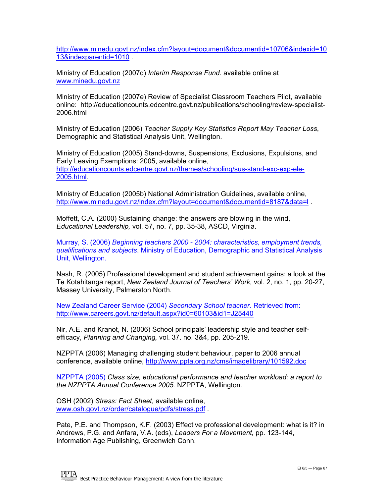[http://www.minedu.govt.nz/index.cfm?layout=document&documentid=10706&indexid=10](http://www.minedu.govt.nz/index.cfm?layout=document&documentid=10706&indexid=1013&indexparentid=1010) [13&indexparentid=1010](http://www.minedu.govt.nz/index.cfm?layout=document&documentid=10706&indexid=1013&indexparentid=1010) .

Ministry of Education (2007d) *Interim Response Fund.* available online at [www.minedu.govt.nz](http://www.minedu.govt.nz/)

Ministry of Education (2007e) Review of Specialist Classroom Teachers Pilot, available online: http://educationcounts.edcentre.govt.nz/publications/schooling/review-specialist-2006.html

Ministry of Education (2006) *Teacher Supply Key Statistics Report May Teacher Loss*, Demographic and Statistical Analysis Unit, Wellington.

Ministry of Education (2005) Stand-downs, Suspensions, Exclusions, Expulsions, and Early Leaving Exemptions: 2005, available online, [http://educationcounts.edcentre.govt.nz/themes/schooling/sus-stand-exc-exp-ele-](http://educationcounts.edcentre.govt.nz/themes/schooling/sus-stand-exc-exp-ele-2005.html)[2005.html](http://educationcounts.edcentre.govt.nz/themes/schooling/sus-stand-exc-exp-ele-2005.html).

Ministry of Education (2005b) National Administration Guidelines, available online, <http://www.minedu.govt.nz/index.cfm?layout=document&documentid=8187&data=l> .

Moffett, C.A. (2000) Sustaining change: the answers are blowing in the wind, *Educational Leadership,* vol. 57, no. 7, pp. 35-38, ASCD, Virginia.

Murray, S. (2006) *Beginning teachers 2000 - 2004: characteristics, employment trends, qualifications and subjects*. Ministry of Education, Demographic and Statistical Analysis Unit, Wellington.

Nash, R. (2005) Professional development and student achievement gains: a look at the Te Kotahitanga report, *New Zealand Journal of Teachers' Work,* vol. 2, no. 1, pp. 20-27, Massey University, Palmerston North.

New Zealand Career Service (2004) *Secondary School teacher.* Retrieved from: <http://www.careers.govt.nz/default.aspx?id0=60103&id1=J25440>

Nir, A.E. and Kranot, N. (2006) School principals' leadership style and teacher selfefficacy, *Planning and Changing,* vol. 37. no. 3&4, pp. 205-219.

NZPPTA (2006) Managing challenging student behaviour, paper to 2006 annual conference, available online,<http://www.ppta.org.nz/cms/imagelibrary/101592.doc>

NZPPTA (2005) *Class size, educational performance and teacher workload: a report to the NZPPTA Annual Conference 2005*. NZPPTA, Wellington.

OSH (2002) *Stress: Fact Sheet,* available online, [www.osh.govt.nz/order/catalogue/pdfs/stress.pdf](http://www.osh.govt.nz/order/catalogue/pdfs/stress.pdf) .

Pate, P.E. and Thompson, K.F. (2003) Effective professional development: what is it? in Andrews, P.G. and Anfara, V.A. (eds), *Leaders For a Movement,* pp. 123-144, Information Age Publishing, Greenwich Conn.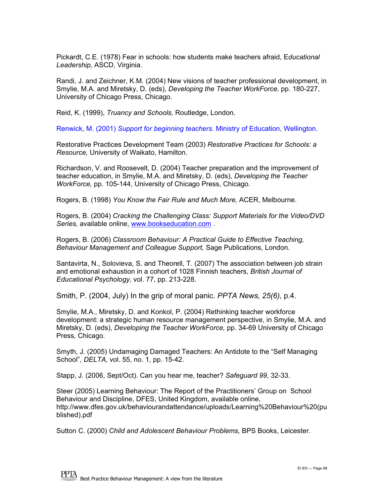Pickardt, C.E. (1978) Fear in schools: how students make teachers afraid, E*ducational Leadership,* ASCD, Virginia.

Randi, J. and Zeichner, K.M. (2004) New visions of teacher professional development, in Smylie, M.A. and Miretsky, D. (eds), *Developing the Teacher WorkForce,* pp. 180-227, University of Chicago Press, Chicago.

Reid, K. (1999), *Truancy and Schools,* Routledge, London.

Renwick, M. (2001) *Support for beginning teachers.* Ministry of Education, Wellington.

Restorative Practices Development Team (2003) *Restorative Practices for Schools: a Resource,* University of Waikato, Hamilton.

Richardson, V. and Roosevelt, D. (2004) Teacher preparation and the improvement of teacher education, in Smylie, M.A. and Miretsky, D. (eds), *Developing the Teacher WorkForce,* pp. 105-144, University of Chicago Press, Chicago.

Rogers, B. (1998) *You Know the Fair Rule and Much More,* ACER, Melbourne.

Rogers, B. (2004) *Cracking the Challenging Class: Support Materials for the Video/DVD Series,* available online, [www.bookseducation.com](http://www.bookseducation.com/) .

Rogers, B. (2006) *Classroom Behaviour: A Practical Guide to Effective Teaching, Behaviour Management and Colleague Support,* Sage Publications, London.

Santavirta, N., Solovieva, S. and Theorell, T. (2007) The association between job strain and emotional exhaustion in a cohort of 1028 Finnish teachers, *British Journal of Educational Psychology,* vol. 77, pp. 213-228.

Smith, P. (2004, July) In the grip of moral panic. *PPTA News, 25(6),* p.4.

Smylie, M.A., Miretsky, D. and Konkol, P. (2004) Rethinking teacher workforce development: a strategic human resource management perspective, in Smylie, M.A. and Miretsky, D. (eds), *Developing the Teacher WorkForce,* pp. 34-69 University of Chicago Press, Chicago.

Smyth, J. (2005) Undamaging Damaged Teachers: An Antidote to the "Self Managing School"*, DELTA,* vol. 55, no. 1, pp. 15-42.

Stapp, J. (2006, Sept/Oct). Can you hear me, teacher? *Safeguard 99*, 32-33.

Steer (2005) Learning Behaviour: The Report of the Practitioners' Group on School Behaviour and Discipline, DFES, United Kingdom, available online, http://www.dfes.gov.uk/behaviourandattendance/uploads/Learning%20Behaviour%20(pu blished).pdf

Sutton C. (2000) *Child and Adolescent Behaviour Problems,* BPS Books, Leicester.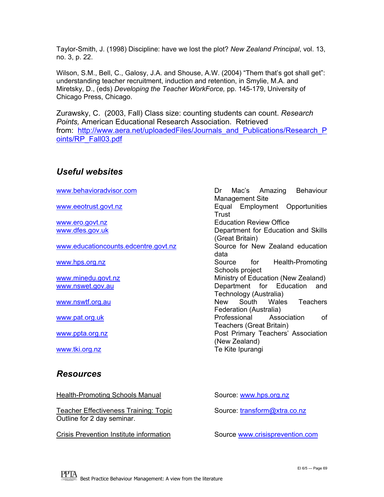<span id="page-68-0"></span>Taylor-Smith, J. (1998) Discipline: have we lost the plot? *New Zealand Principal*, vol. 13, no. 3, p. 22.

Wilson, S.M., Bell, C., Galosy, J.A. and Shouse, A.W. (2004) "Them that's got shall get": understanding teacher recruitment, induction and retention, in Smylie, M.A. and Miretsky, D., (eds) *Developing the Teacher WorkForce,* pp. 145-179, University of Chicago Press, Chicago.

Zurawsky, C. (2003, Fall) Class size: counting students can count. *Research Points,* American Educational Research Association. Retrieved from: [http://www.aera.net/uploadedFiles/Journals\\_and\\_Publications/Research\\_P](http://www.aera.net/uploadedFiles/Journals_and_Publications/Research_Points/RP_Fall03.pdf)\_ [oints/RP\\_Fall03.pdf](http://www.aera.net/uploadedFiles/Journals_and_Publications/Research_Points/RP_Fall03.pdf) 

#### *Useful websites*

[www.behavioradvisor.com](http://www.behavioradvisor.com/) Dr Mac's Amazing Behaviour

[www.educationcounts.edcentre.govt.nz](http://www.educationcounts.edcentre.govt.nz/) Source for New Zealand education

#### *Resources*

Health-Promoting Schools Manual Source: [www.hps.org.nz](http://www.hps.org.nz/)

Teacher Effectiveness Training: Topic Source: [transform@xtra.co.nz](mailto:transform@xtra.co.nz) Outline for 2 day seminar.

Crisis Prevention Institute information Source [www.crisisprevention.com](http://www.crisisprevention.com/)

Management Site [www.eeotrust.govt.nz](http://www.eeotrust.govt.nz/) entertainment Construction Equal Employment Opportunities **Trust** [www.ero.govt.nz](http://www.ero.govt.nz/) **Education Review Office** [www.dfes.gov.uk](http://www.dfes.gov.uk/) **Department for Education and Skills** (Great Britain) data [www.hps.org.nz](http://www.hps.org.nz/) Source for Health-Promoting Schools project [www.minedu.govt.nz](http://www.minedu.govt.nz/) example and ministry of Education (New Zealand) [www.nswet.gov.au](http://www.nswet.gov.au/) **Department** for Education and Technology (Australia) [www.nswtf.org.au](http://www.nswtf.org.au/) New South Wales Teachers Federation (Australia) [www.pat.org.uk](http://www.pat.org.uk/) example and a professional Association of Teachers (Great Britain) [www.ppta.org.nz](http://www.ppta.org.nz/) extending the post Primary Teachers' Association (New Zealand) [www.tki.org.nz](http://www.tki.org.nz/) example and the Contract of Te Kite Ipurangi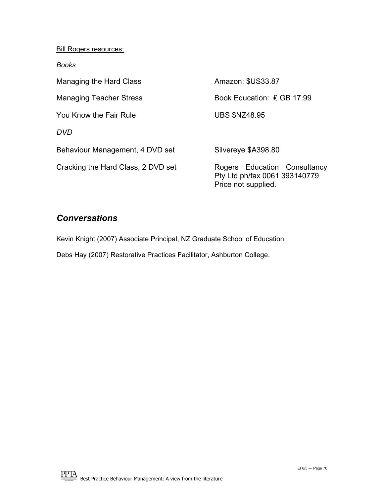**Bill Rogers resources:** 

*Books* 

| Managing the Hard Class            | Amazon: \$US33.87                                                                    |
|------------------------------------|--------------------------------------------------------------------------------------|
| <b>Managing Teacher Stress</b>     | Book Education: £ GB 17.99                                                           |
| You Know the Fair Rule             | <b>UBS \$NZ48.95</b>                                                                 |
| <b>DVD</b>                         |                                                                                      |
| Behaviour Management, 4 DVD set    | Silvereye \$A398.80                                                                  |
| Cracking the Hard Class, 2 DVD set | Rogers Education Consultancy<br>Pty Ltd ph/fax 0061 393140779<br>Price not supplied. |

#### *Conversations*

Kevin Knight (2007) Associate Principal, NZ Graduate School of Education.

Debs Hay (2007) Restorative Practices Facilitator, Ashburton College.